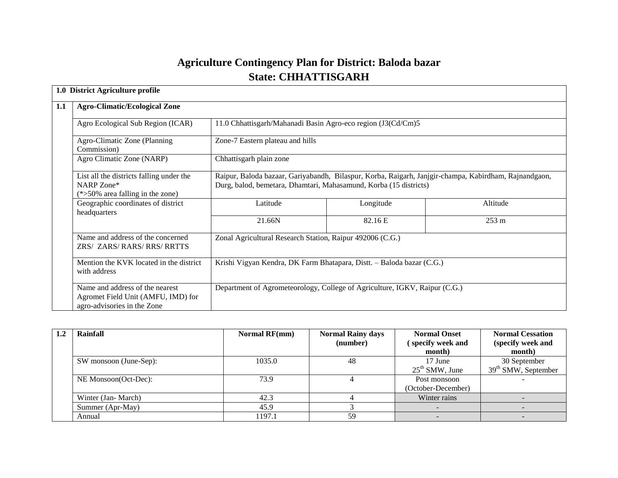# **Agriculture Contingency Plan for District: Baloda bazar State: CHHATTISGARH**

| 1.0 District Agriculture profile                                                                     |                                                                                                                                                                            |                                                                            |          |  |  |  |
|------------------------------------------------------------------------------------------------------|----------------------------------------------------------------------------------------------------------------------------------------------------------------------------|----------------------------------------------------------------------------|----------|--|--|--|
| <b>Agro-Climatic/Ecological Zone</b>                                                                 |                                                                                                                                                                            |                                                                            |          |  |  |  |
| Agro Ecological Sub Region (ICAR)                                                                    | 11.0 Chhattisgarh/Mahanadi Basin Agro-eco region (J3(Cd/Cm)5                                                                                                               |                                                                            |          |  |  |  |
| Agro-Climatic Zone (Planning)<br>Commission)                                                         | Zone-7 Eastern plateau and hills                                                                                                                                           |                                                                            |          |  |  |  |
| Agro Climatic Zone (NARP)                                                                            | Chhattisgarh plain zone                                                                                                                                                    |                                                                            |          |  |  |  |
| List all the districts falling under the<br>NARP Zone*<br>$(*>50\%$ area falling in the zone)        | Raipur, Baloda bazaar, Gariyabandh, Bilaspur, Korba, Raigarh, Janjgir-champa, Kabirdham, Rajnandgaon,<br>Durg, balod, bemetara, Dhamtari, Mahasamund, Korba (15 districts) |                                                                            |          |  |  |  |
| Geographic coordinates of district<br>headquarters                                                   | Latitude                                                                                                                                                                   | Longitude                                                                  | Altitude |  |  |  |
|                                                                                                      | 21.66N                                                                                                                                                                     | 82.16 E                                                                    | 253 m    |  |  |  |
| Name and address of the concerned<br>ZRS/ ZARS/ RARS/ RRS/ RRTTS                                     | Zonal Agricultural Research Station, Raipur 492006 (C.G.)                                                                                                                  |                                                                            |          |  |  |  |
| Mention the KVK located in the district<br>with address                                              |                                                                                                                                                                            | Krishi Vigyan Kendra, DK Farm Bhatapara, Distt. - Baloda bazar (C.G.)      |          |  |  |  |
| Name and address of the nearest<br>Agromet Field Unit (AMFU, IMD) for<br>agro-advisories in the Zone |                                                                                                                                                                            | Department of Agrometeorology, College of Agriculture, IGKV, Raipur (C.G.) |          |  |  |  |

| Rainfall               | <b>Normal RF(mm)</b> | <b>Normal Rainy days</b> | <b>Normal Onset</b> | <b>Normal Cessation</b> |
|------------------------|----------------------|--------------------------|---------------------|-------------------------|
|                        |                      | (number)                 | specify week and    | (specify week and       |
|                        |                      |                          | month)              | month)                  |
| SW monsoon (June-Sep): | 1035.0               | 48                       | 17 June             | 30 September            |
|                        |                      |                          | $25th$ SMW, June    | $39th$ SMW, September   |
| NE Monsoon(Oct-Dec):   | 73.9                 |                          | Post monsoon        |                         |
|                        |                      |                          | (October-December)  |                         |
| Winter (Jan-March)     | 42.3                 |                          | Winter rains        |                         |
| Summer (Apr-May)       | 45.9                 |                          |                     |                         |
| Annual                 | 1197.1               | 59                       |                     |                         |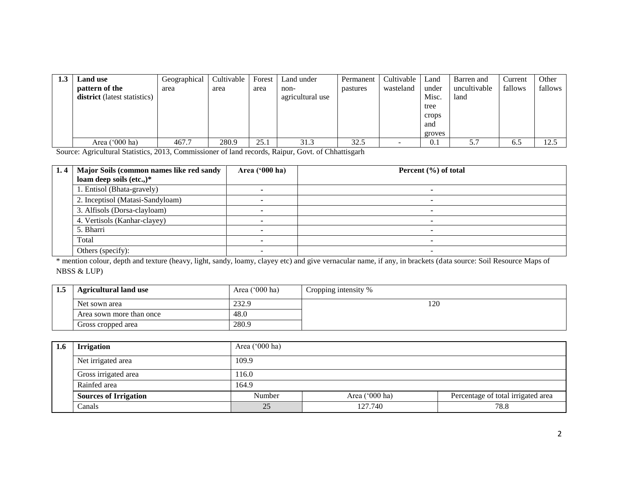| 1.3 | <b>Land use</b>              | Geographical | Cultivable | Forest | Land under       | Permanent | Cultivable | Land   | Barren and   | Current | Other   |
|-----|------------------------------|--------------|------------|--------|------------------|-----------|------------|--------|--------------|---------|---------|
|     | pattern of the               | area         | area       | area   | non-             | pastures  | wasteland  | under  | uncultivable | fallows | fallows |
|     | district (latest statistics) |              |            |        | agricultural use |           |            | Misc.  | land         |         |         |
|     |                              |              |            |        |                  |           |            | tree   |              |         |         |
|     |                              |              |            |        |                  |           |            | crops  |              |         |         |
|     |                              |              |            |        |                  |           |            | and    |              |         |         |
|     |                              |              |            |        |                  |           |            | groves |              |         |         |
|     | Area $('000 ha)$             | 467.7        | 280.9      | 25.1   | 31.3             | 32.5      |            | 0.1    | 5.7          | 6.5     | 12.5    |

Source: Agricultural Statistics, 2013, Commissioner of land records, Raipur, Govt. of Chhattisgarh

| 1.4 | Major Soils (common names like red sandy | Area $(900 \text{ ha})$ | Percent $(\% )$ of total |
|-----|------------------------------------------|-------------------------|--------------------------|
|     | loam deep soils (etc.,)*                 |                         |                          |
|     | 1. Entisol (Bhata-gravely)               |                         |                          |
|     | 2. Inceptisol (Matasi-Sandyloam)         |                         |                          |
|     | 3. Alfisols (Dorsa-clayloam)             |                         |                          |
|     | 4. Vertisols (Kanhar-clayey)             |                         |                          |
|     | 5. Bharri                                |                         | -                        |
|     | Total                                    |                         |                          |
|     | Others (specify):                        |                         |                          |

\* mention colour, depth and texture (heavy, light, sandy, loamy, clayey etc) and give vernacular name, if any, in brackets (data source: Soil Resource Maps of NBSS & LUP)

| 1.3 | <b>Agricultural land use</b> | Area $('000 ha)$ | Cropping intensity % |
|-----|------------------------------|------------------|----------------------|
|     | Net sown area                | 232.9            | 120                  |
|     | Area sown more than once     | 48.0             |                      |
|     | Gross cropped area           | 280.9            |                      |

| 1.6 | <b>Irrigation</b>            | Area $('000 ha)$           |         |                                    |  |  |
|-----|------------------------------|----------------------------|---------|------------------------------------|--|--|
|     | Net irrigated area           | 109.9                      |         |                                    |  |  |
|     | Gross irrigated area         | 116.0                      |         |                                    |  |  |
|     | Rainfed area                 | 164.9                      |         |                                    |  |  |
|     | <b>Sources of Irrigation</b> | Area $('000 ha)$<br>Number |         | Percentage of total irrigated area |  |  |
|     | Canals                       | 25                         | 127.740 | 78.8                               |  |  |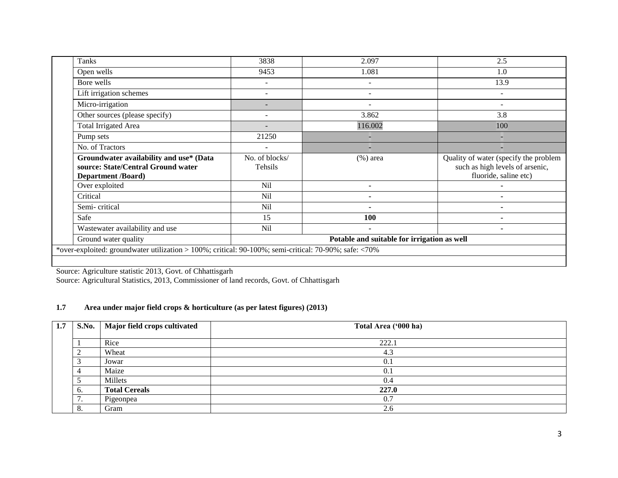| Tanks                                                                                                      | 3838                      | 2.097          | 2.5                                                                                               |  |  |
|------------------------------------------------------------------------------------------------------------|---------------------------|----------------|---------------------------------------------------------------------------------------------------|--|--|
| Open wells                                                                                                 | 9453                      | 1.081          | 1.0                                                                                               |  |  |
| Bore wells                                                                                                 |                           |                | 13.9                                                                                              |  |  |
| Lift irrigation schemes                                                                                    | $\qquad \qquad -$         | ۰              | -                                                                                                 |  |  |
| Micro-irrigation                                                                                           |                           |                | ۰                                                                                                 |  |  |
| Other sources (please specify)                                                                             |                           | 3.862          | 3.8                                                                                               |  |  |
| <b>Total Irrigated Area</b>                                                                                |                           | 116.002        | 100                                                                                               |  |  |
| Pump sets                                                                                                  | 21250                     |                |                                                                                                   |  |  |
| No. of Tractors                                                                                            | ۰                         |                |                                                                                                   |  |  |
| Groundwater availability and use* (Data<br>source: State/Central Ground water<br><b>Department /Board)</b> | No. of blocks/<br>Tehsils | $(\%)$ area    | Quality of water (specify the problem<br>such as high levels of arsenic,<br>fluoride, saline etc) |  |  |
| Over exploited                                                                                             | N <sub>il</sub>           |                |                                                                                                   |  |  |
| Critical                                                                                                   | N <sub>il</sub>           | ۰              |                                                                                                   |  |  |
| Semi-critical                                                                                              | N <sub>il</sub>           |                | $\blacksquare$                                                                                    |  |  |
| Safe                                                                                                       | 15                        | <b>100</b>     |                                                                                                   |  |  |
| Wastewater availability and use                                                                            | N <sub>il</sub>           | $\blacksquare$ | $\blacksquare$                                                                                    |  |  |
| Ground water quality<br>Potable and suitable for irrigation as well                                        |                           |                |                                                                                                   |  |  |
| *over-exploited: groundwater utilization > 100%; critical: 90-100%; semi-critical: 70-90%; safe: <70%      |                           |                |                                                                                                   |  |  |
|                                                                                                            |                           |                |                                                                                                   |  |  |

Source: Agriculture statistic 2013, Govt. of Chhattisgarh

Source: Agricultural Statistics, 2013, Commissioner of land records, Govt. of Chhattisgarh

#### **1.7 Area under major field crops & horticulture (as per latest figures) (2013)**

| 1.7 |     | S.No.   Major field crops cultivated | Total Area ('000 ha) |
|-----|-----|--------------------------------------|----------------------|
|     |     |                                      |                      |
|     |     | Rice                                 | 222.1                |
|     |     | Wheat                                | 4.3                  |
|     |     | Jowar                                | 0.1                  |
|     |     | Maize                                | 0.                   |
|     |     | Millets                              | 0.4                  |
|     |     | <b>Total Cereals</b>                 | 227.0                |
|     | . . | Pigeonpea                            | 0.7                  |
|     | o.  | Gram                                 | ◠<br>2.6             |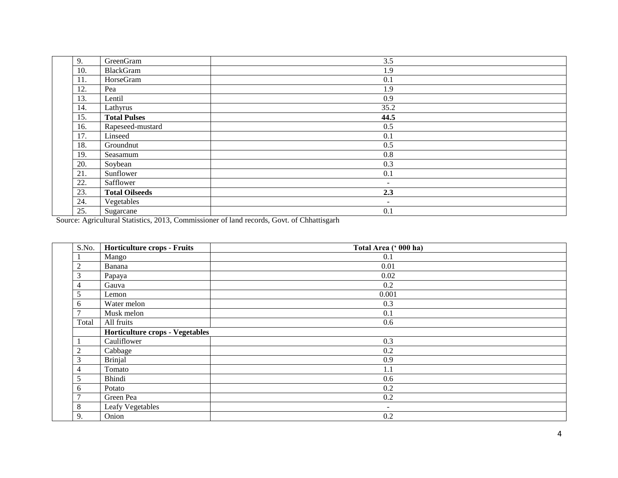| 9.  | GreenGram             | 3.5                      |
|-----|-----------------------|--------------------------|
| 10. | BlackGram             | 1.9                      |
| 11. | HorseGram             | 0.1                      |
| 12. | Pea                   | 1.9                      |
| 13. | Lentil                | 0.9                      |
| 14. | Lathyrus              | 35.2                     |
| 15. | <b>Total Pulses</b>   | 44.5                     |
| 16. | Rapeseed-mustard      | 0.5                      |
| 17. | Linseed               | 0.1                      |
| 18. | Groundnut             | 0.5                      |
| 19. | Seasamum              | 0.8                      |
| 20. | Soybean               | 0.3                      |
| 21. | Sunflower             | 0.1                      |
| 22. | Safflower             | $\overline{\phantom{a}}$ |
| 23. | <b>Total Oilseeds</b> | 2.3                      |
| 24. | Vegetables            | $\overline{\phantom{a}}$ |
| 25. | Sugarcane             | 0.1                      |

Source: Agricultural Statistics, 2013, Commissioner of land records, Govt. of Chhattisgarh

| S.No.          | Horticulture crops - Fruits     | Total Area (' 000 ha) |
|----------------|---------------------------------|-----------------------|
|                | Mango                           | 0.1                   |
| $\overline{2}$ | Banana                          | 0.01                  |
| 3              | Papaya                          | 0.02                  |
| 4              | Gauva                           | 0.2                   |
| 5              | Lemon                           | 0.001                 |
| 6              | Water melon                     | 0.3                   |
|                | Musk melon                      | 0.1                   |
| Total          | All fruits                      | 0.6                   |
|                | Horticulture crops - Vegetables |                       |
|                | Cauliflower                     | 0.3                   |
| $\overline{2}$ | Cabbage                         | 0.2                   |
| 3              | <b>Brinjal</b>                  | 0.9                   |
| 4              | Tomato                          | 1.1                   |
|                | Bhindi                          | 0.6                   |
| 6              | Potato                          | 0.2                   |
| $\mathcal{I}$  | Green Pea                       | 0.2                   |
| 8              | Leafy Vegetables                | $\sim$                |
| 9.             | Onion                           | 0.2                   |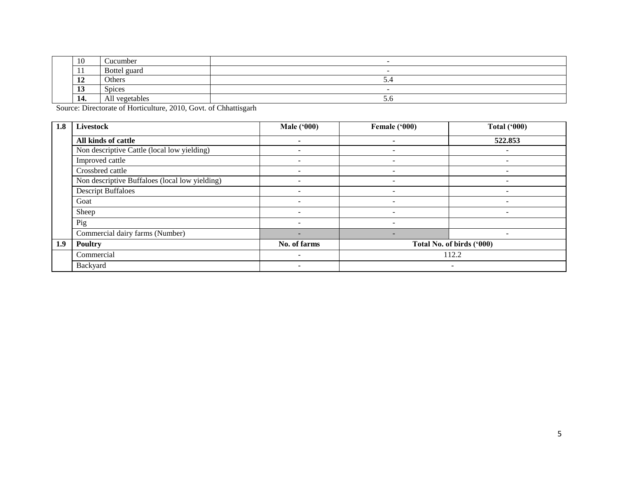| $\epsilon$<br>10 | Cucumber       | -   |
|------------------|----------------|-----|
| . .              | Bottel guard   |     |
| -14              | Others         | ۰.۰ |
| πJ               | <b>Spices</b>  | -   |
| 14.              | All vegetables | 5.0 |

Source: Directorate of Horticulture, 2010, Govt. of Chhattisgarh

| 1.8 | <b>Livestock</b>                               | <b>Male ('000)</b>       | Female ('000)            | <b>Total ('000)</b>       |
|-----|------------------------------------------------|--------------------------|--------------------------|---------------------------|
|     | All kinds of cattle                            |                          |                          | 522.853                   |
|     | Non descriptive Cattle (local low yielding)    |                          | -                        |                           |
|     | Improved cattle                                |                          |                          |                           |
|     | Crossbred cattle                               | $\overline{\phantom{0}}$ | $\overline{\phantom{0}}$ | $\overline{\phantom{0}}$  |
|     | Non descriptive Buffaloes (local low yielding) |                          |                          |                           |
|     | <b>Descript Buffaloes</b>                      |                          |                          |                           |
|     | Goat                                           |                          |                          |                           |
|     | Sheep                                          |                          |                          |                           |
|     | Pig                                            |                          |                          |                           |
|     | Commercial dairy farms (Number)                | -                        |                          | $\overline{\phantom{0}}$  |
| 1.9 | <b>Poultry</b>                                 | No. of farms             |                          | Total No. of birds ('000) |
|     | Commercial                                     |                          |                          | 112.2                     |
|     | Backyard                                       |                          |                          |                           |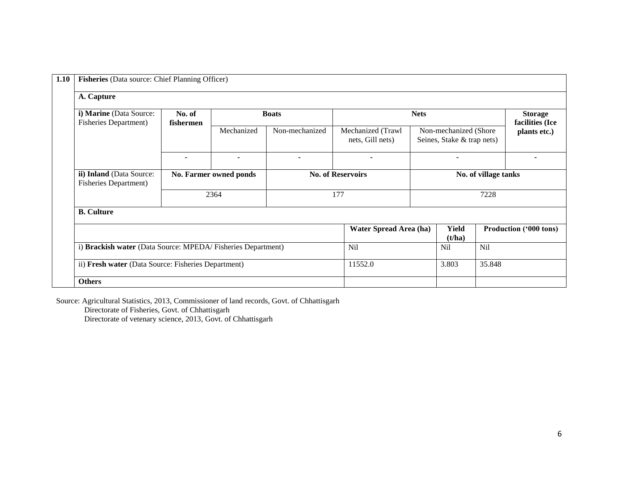| 1.10                                                      | Fisheries (Data source: Chief Planning Officer)             |                        |                          |                                       |                 |                                                     |                      |                                   |  |  |  |  |
|-----------------------------------------------------------|-------------------------------------------------------------|------------------------|--------------------------|---------------------------------------|-----------------|-----------------------------------------------------|----------------------|-----------------------------------|--|--|--|--|
| A. Capture                                                |                                                             |                        |                          |                                       |                 |                                                     |                      |                                   |  |  |  |  |
| i) Marine (Data Source:<br><b>Fisheries Department)</b>   | No. of<br>fishermen                                         |                        | <b>Boats</b>             |                                       | <b>Nets</b>     |                                                     |                      | <b>Storage</b><br>facilities (Ice |  |  |  |  |
|                                                           |                                                             | Mechanized             | Non-mechanized           | Mechanized (Trawl<br>nets, Gill nets) |                 | Non-mechanized (Shore<br>Seines, Stake & trap nets) |                      | plants etc.)                      |  |  |  |  |
|                                                           | $\blacksquare$                                              | ۰                      | ۰                        | $\blacksquare$                        |                 | ۰                                                   |                      |                                   |  |  |  |  |
| ii) Inland (Data Source:<br><b>Fisheries Department</b> ) |                                                             | No. Farmer owned ponds | <b>No. of Reservoirs</b> |                                       |                 |                                                     | No. of village tanks |                                   |  |  |  |  |
|                                                           | 2364                                                        |                        | 177                      |                                       | 7228            |                                                     |                      |                                   |  |  |  |  |
| <b>B.</b> Culture                                         |                                                             |                        |                          |                                       |                 |                                                     |                      |                                   |  |  |  |  |
|                                                           |                                                             |                        |                          | Water Spread Area (ha)                |                 | <b>Yield</b><br>(t/ha)                              |                      | <b>Production ('000 tons)</b>     |  |  |  |  |
|                                                           | i) Brackish water (Data Source: MPEDA/Fisheries Department) |                        |                          |                                       |                 | <b>Nil</b>                                          | Nil                  |                                   |  |  |  |  |
| ii) Fresh water (Data Source: Fisheries Department)       |                                                             |                        |                          | 11552.0                               | 3.803<br>35.848 |                                                     |                      |                                   |  |  |  |  |
| <b>Others</b>                                             |                                                             |                        |                          |                                       |                 |                                                     |                      |                                   |  |  |  |  |

Source: Agricultural Statistics, 2013, Commissioner of land records, Govt. of Chhattisgarh Directorate of Fisheries, Govt. of Chhattisgarh

Directorate of vetenary science, 2013, Govt. of Chhattisgarh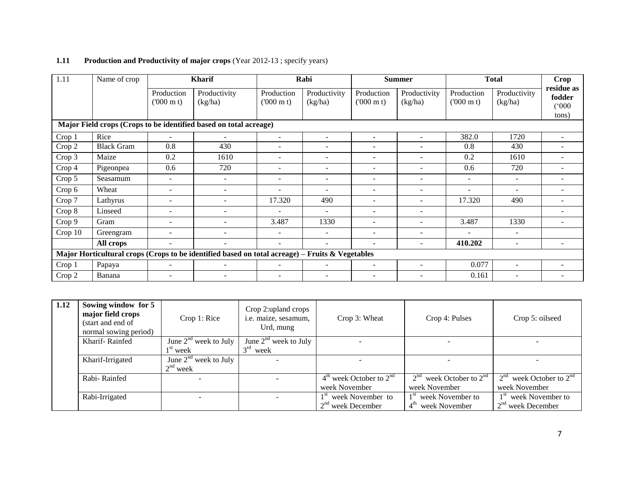| 1.11                                                              | Name of crop      |                                 | <b>Kharif</b>                                                                                   |                                 | Rabi                     |                                 | <b>Summer</b>            |                                 | <b>Total</b>             |                               |
|-------------------------------------------------------------------|-------------------|---------------------------------|-------------------------------------------------------------------------------------------------|---------------------------------|--------------------------|---------------------------------|--------------------------|---------------------------------|--------------------------|-------------------------------|
|                                                                   |                   | Production<br>$(000 \text{ m})$ | Productivity<br>(kg/ha)                                                                         | Production<br>$(000 \text{ m})$ | Productivity<br>(kg/ha)  | Production<br>$(000 \text{ m})$ | Productivity<br>(kg/ha)  | Production<br>$(000 \text{ m})$ | Productivity<br>(kg/ha)  | residue as<br>fodder<br>(000) |
|                                                                   |                   |                                 |                                                                                                 |                                 |                          |                                 |                          |                                 |                          | tons)                         |
| Major Field crops (Crops to be identified based on total acreage) |                   |                                 |                                                                                                 |                                 |                          |                                 |                          |                                 |                          |                               |
| Crop 1                                                            | Rice              |                                 |                                                                                                 | $\overline{\phantom{a}}$        |                          |                                 |                          | 382.0                           | 1720                     |                               |
| Crop 2                                                            | <b>Black Gram</b> | 0.8                             | 430                                                                                             | $\overline{\phantom{a}}$        | $\overline{\phantom{a}}$ | $\overline{\phantom{0}}$        | $\overline{\phantom{m}}$ | 0.8                             | 430                      |                               |
| Crop 3                                                            | Maize             | 0.2                             | 1610                                                                                            |                                 | $\overline{\phantom{a}}$ | $\overline{\phantom{a}}$        |                          | 0.2                             | 1610                     |                               |
| Crop 4                                                            | Pigeonpea         | 0.6                             | 720                                                                                             |                                 | $\overline{\phantom{a}}$ | $\overline{\phantom{0}}$        |                          | 0.6                             | 720                      |                               |
| Crop 5                                                            | Seasamum          | $\overline{\phantom{0}}$        | $\overline{\phantom{a}}$                                                                        |                                 |                          |                                 |                          | $\overline{\phantom{a}}$        | ۰                        |                               |
| Crop 6                                                            | Wheat             | $\overline{a}$                  | $\overline{\phantom{a}}$                                                                        | ۰                               | $\overline{\phantom{a}}$ | $\overline{\phantom{0}}$        | $\overline{\phantom{0}}$ | $\qquad \qquad -$               | ۰                        |                               |
| Crop 7                                                            | Lathyrus          | $\blacksquare$                  | $\equiv$                                                                                        | 17.320                          | 490                      | $\sim$                          | $\sim$                   | 17.320                          | 490                      |                               |
| Crop 8                                                            | Linseed           | $\overline{\phantom{0}}$        | $\qquad \qquad -$                                                                               | $\overline{\phantom{a}}$        | $\overline{\phantom{a}}$ | $\overline{\phantom{0}}$        | $\overline{\phantom{m}}$ |                                 |                          |                               |
| Crop 9                                                            | Gram              | $\overline{\phantom{a}}$        | $\blacksquare$                                                                                  | 3.487                           | 1330                     | $\overline{\phantom{a}}$        |                          | 3.487                           | 1330                     |                               |
| Crop 10                                                           | Greengram         | $\overline{\phantom{0}}$        | $\qquad \qquad -$                                                                               | $\overline{\phantom{a}}$        | $\overline{\phantom{a}}$ | $\overline{\phantom{0}}$        |                          |                                 | $\overline{\phantom{a}}$ |                               |
|                                                                   | All crops         |                                 | ٠                                                                                               |                                 |                          | ۰                               |                          | 410.202                         | $\sim$                   |                               |
|                                                                   |                   |                                 | Major Horticultural crops (Crops to be identified based on total acreage) – Fruits & Vegetables |                                 |                          |                                 |                          |                                 |                          |                               |
| Crop 1                                                            | Papaya            | $\equiv$                        | $\overline{\phantom{a}}$                                                                        | $\overline{\phantom{a}}$        | $\sim$                   | $\overline{\phantom{a}}$        | $\overline{\phantom{m}}$ | 0.077                           | $\overline{\phantom{a}}$ |                               |
| Crop 2                                                            | Banana            |                                 |                                                                                                 |                                 |                          | $\overline{\phantom{a}}$        |                          | 0.161                           | $\overline{\phantom{a}}$ |                               |

# **1.11** Production and Productivity of major crops (Year 2012-13; specify years)

| 1.12 | Sowing window for 5<br>major field crops<br>(start and end of<br>normal sowing period) | Crop 1: Rice                                 | Crop 2: upland crops<br>i.e. maize, sesamum,<br>Urd, mung | Crop 3: Wheat                                           | Crop 4: Pulses                                                    | Crop 5: oilseed                                           |
|------|----------------------------------------------------------------------------------------|----------------------------------------------|-----------------------------------------------------------|---------------------------------------------------------|-------------------------------------------------------------------|-----------------------------------------------------------|
|      | Kharif-Rainfed                                                                         | June $2nd$ week to July<br>$1^{\rm st}$ week | June $2nd$ week to July<br>$3rd$ week                     |                                                         |                                                                   |                                                           |
|      | June $2nd$ week to July<br>Kharif-Irrigated<br>$2nd$ week                              |                                              |                                                           |                                                         |                                                                   |                                                           |
|      | Rabi-Rainfed                                                                           |                                              |                                                           | $4th$ week October to $2nd$<br>week November            | $2nd$ week October to $2nd$<br>week November                      | 2 <sup>nd</sup><br>week October to $2nd$<br>week November |
|      | Rabi-Irrigated                                                                         |                                              |                                                           | 1 <sup>st</sup> week November to<br>$2nd$ week December | 1 <sup>st</sup> week November to<br>4 <sup>th</sup> week November | 1 <sup>st</sup> week November to<br>$2nd$ week December   |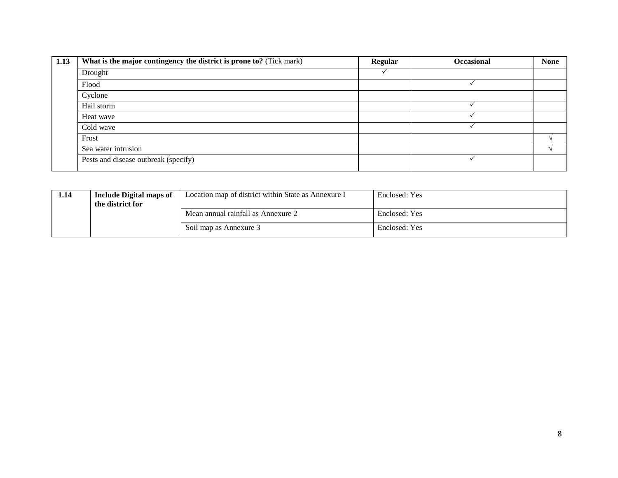| 1.13 | What is the major contingency the district is prone to? (Tick mark) | <b>Regular</b> | <b>Occasional</b> | <b>None</b> |
|------|---------------------------------------------------------------------|----------------|-------------------|-------------|
|      | Drought                                                             |                |                   |             |
|      | Flood                                                               |                |                   |             |
|      | Cyclone                                                             |                |                   |             |
|      | Hail storm                                                          |                |                   |             |
|      | Heat wave                                                           |                |                   |             |
|      | Cold wave                                                           |                |                   |             |
|      | Frost                                                               |                |                   |             |
|      | Sea water intrusion                                                 |                |                   |             |
|      | Pests and disease outbreak (specify)                                |                |                   |             |

| 1.14 | Include Digital maps of<br>the district for | Location map of district within State as Annexure I | Enclosed: Yes |  |
|------|---------------------------------------------|-----------------------------------------------------|---------------|--|
|      |                                             | Mean annual rainfall as Annexure 2                  | Enclosed: Yes |  |
|      |                                             | Soil map as Annexure 3                              | Enclosed: Yes |  |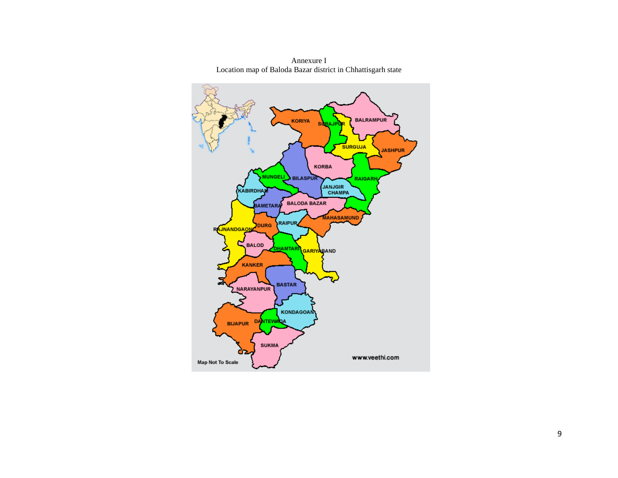

Annexure I Location map of Baloda Bazar district in Chhattisgarh state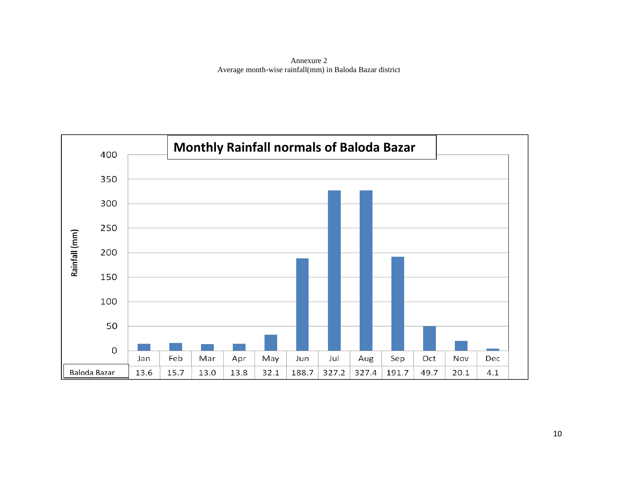Annexure 2 Average month-wise rainfall(mm) in Baloda Bazar district

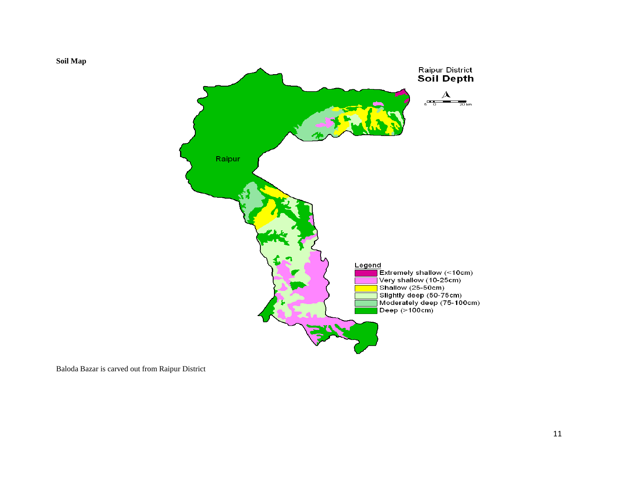



Baloda Bazar is carved out from Raipur District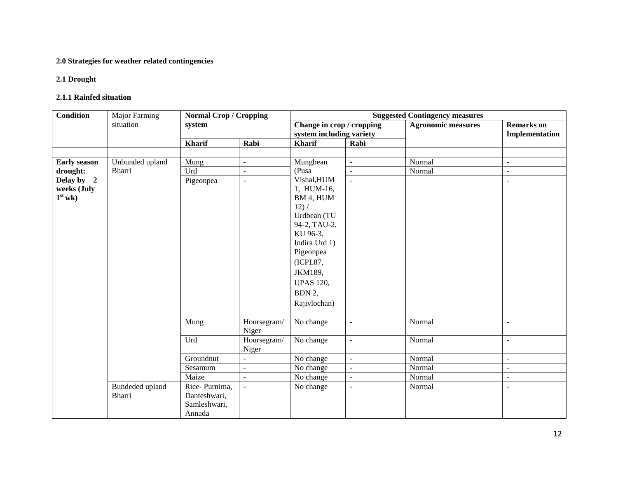## **2.0 Strategies for weather related contingencies**

### **2.1 Drought**

#### **2.1.1 Rainfed situation**

| <b>Condition</b>    | <b>Major Farming</b> | <b>Normal Crop / Cropping</b> |                      | <b>Suggested Contingency measures</b> |                   |                           |                          |  |  |
|---------------------|----------------------|-------------------------------|----------------------|---------------------------------------|-------------------|---------------------------|--------------------------|--|--|
|                     | situation            | system                        |                      | Change in crop / cropping             |                   | <b>Agronomic measures</b> | <b>Remarks</b> on        |  |  |
|                     |                      |                               |                      | system including variety              |                   |                           | Implementation           |  |  |
|                     |                      | <b>Kharif</b>                 | Rabi                 | <b>Kharif</b>                         | Rabi              |                           |                          |  |  |
|                     |                      |                               |                      |                                       |                   |                           |                          |  |  |
| <b>Early season</b> | Unbunded upland      | Mung                          | ÷.                   | Mungbean                              | ÷,                | Normal                    | $\blacksquare$           |  |  |
| drought:            | Bharri               | Urd                           | ÷                    | (Pusa                                 | $\qquad \qquad -$ | Normal                    | $\overline{\phantom{a}}$ |  |  |
| Delay by 2          |                      | Pigeonpea                     | ÷.                   | Vishal, HUM                           | $\overline{a}$    |                           | $\overline{\phantom{a}}$ |  |  |
| weeks (July         |                      |                               |                      | 1, HUM-16,                            |                   |                           |                          |  |  |
| $1st$ wk)           |                      |                               |                      | BM 4, HUM                             |                   |                           |                          |  |  |
|                     |                      |                               |                      | 12) /                                 |                   |                           |                          |  |  |
|                     |                      |                               |                      | Urdbean (TU<br>94-2, TAU-2,           |                   |                           |                          |  |  |
|                     |                      |                               |                      | KU 96-3,                              |                   |                           |                          |  |  |
|                     |                      |                               |                      | Indira Urd 1)                         |                   |                           |                          |  |  |
|                     |                      |                               |                      | Pigeonpea                             |                   |                           |                          |  |  |
|                     |                      |                               |                      | (ICPL87,                              |                   |                           |                          |  |  |
|                     |                      |                               |                      | JKM189,                               |                   |                           |                          |  |  |
|                     |                      |                               |                      |                                       |                   |                           |                          |  |  |
|                     |                      |                               |                      | <b>UPAS 120,</b>                      |                   |                           |                          |  |  |
|                     |                      |                               |                      | BDN 2,                                |                   |                           |                          |  |  |
|                     |                      |                               |                      | Rajivlochan)                          |                   |                           |                          |  |  |
|                     |                      |                               |                      |                                       |                   |                           |                          |  |  |
|                     |                      | Mung                          | Hoursegram/<br>Niger | No change                             | $\overline{a}$    | Normal                    | $\sim$                   |  |  |
|                     |                      | Urd                           | Hoursegram/<br>Niger | No change                             | ÷,                | Normal                    | $\overline{a}$           |  |  |
|                     |                      | Groundnut                     | ÷.                   | No change                             | $\equiv$          | Normal                    | $\sim$                   |  |  |
|                     |                      | Sesamum                       | ÷,                   | No change                             | ÷,                | Normal                    | $\blacksquare$           |  |  |
|                     |                      | Maize                         | $\overline{a}$       | No change                             | $\blacksquare$    | Normal                    | $\overline{\phantom{a}}$ |  |  |
|                     | Bundeded upland      | Rice-Purnima,                 | $\overline{a}$       | No change                             | $\overline{a}$    | Normal                    | ÷,                       |  |  |
|                     | Bharri               | Danteshwari,                  |                      |                                       |                   |                           |                          |  |  |
|                     |                      | Samleshwari,                  |                      |                                       |                   |                           |                          |  |  |
|                     |                      | Annada                        |                      |                                       |                   |                           |                          |  |  |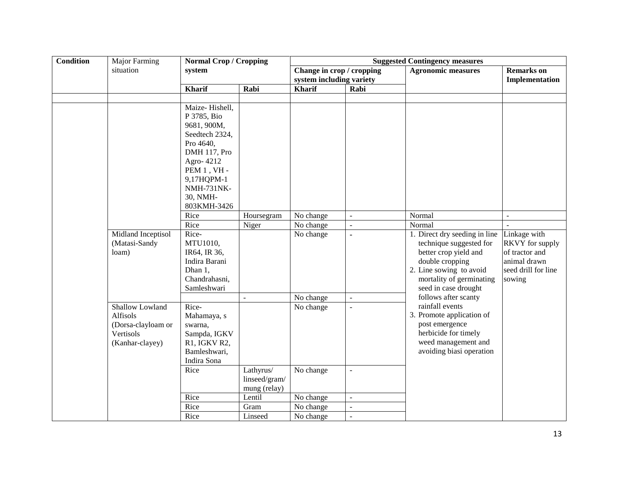| <b>Condition</b> | Major Farming                                                                            | <b>Normal Crop / Cropping</b>                                                                                                                                             |                                            |                                                       |                | <b>Suggested Contingency measures</b>                                                                                                                                               |                                                                                                           |  |
|------------------|------------------------------------------------------------------------------------------|---------------------------------------------------------------------------------------------------------------------------------------------------------------------------|--------------------------------------------|-------------------------------------------------------|----------------|-------------------------------------------------------------------------------------------------------------------------------------------------------------------------------------|-----------------------------------------------------------------------------------------------------------|--|
|                  | situation                                                                                | system                                                                                                                                                                    |                                            | Change in crop / cropping<br>system including variety |                | <b>Agronomic measures</b>                                                                                                                                                           | <b>Remarks</b> on<br>Implementation                                                                       |  |
|                  |                                                                                          | <b>Kharif</b>                                                                                                                                                             | Rabi                                       | <b>Kharif</b>                                         | Rabi           |                                                                                                                                                                                     |                                                                                                           |  |
|                  |                                                                                          |                                                                                                                                                                           |                                            |                                                       |                |                                                                                                                                                                                     |                                                                                                           |  |
|                  |                                                                                          | Maize-Hishell,<br>P 3785, Bio<br>9681, 900M,<br>Seedtech 2324,<br>Pro 4640,<br>DMH 117, Pro<br>Agro-4212<br>PEM $1$ , VH -<br>9,17HQPM-1<br><b>NMH-731NK-</b><br>30, NMH- |                                            |                                                       |                |                                                                                                                                                                                     |                                                                                                           |  |
|                  |                                                                                          | 803KMH-3426                                                                                                                                                               |                                            |                                                       |                |                                                                                                                                                                                     |                                                                                                           |  |
|                  |                                                                                          | Rice                                                                                                                                                                      | Hoursegram                                 | No change                                             | ÷,             | Normal                                                                                                                                                                              | $\overline{\phantom{a}}$                                                                                  |  |
|                  |                                                                                          | Rice                                                                                                                                                                      | Niger                                      | No change                                             | $\overline{a}$ | Normal                                                                                                                                                                              |                                                                                                           |  |
|                  | Midland Inceptisol<br>(Matasi-Sandy<br>loam)                                             | Rice-<br>MTU1010,<br>IR64, IR 36,<br>Indira Barani<br>Dhan 1,<br>Chandrahasni,<br>Samleshwari                                                                             |                                            | No change                                             | ä,             | 1. Direct dry seeding in line<br>technique suggested for<br>better crop yield and<br>double cropping<br>2. Line sowing to avoid<br>mortality of germinating<br>seed in case drought | Linkage with<br><b>RKVY</b> for supply<br>of tractor and<br>animal drawn<br>seed drill for line<br>sowing |  |
|                  |                                                                                          |                                                                                                                                                                           | $\overline{\phantom{a}}$                   | No change                                             | $\omega$       | follows after scanty                                                                                                                                                                |                                                                                                           |  |
|                  | <b>Shallow Lowland</b><br>Alfisols<br>(Dorsa-clayloam or<br>Vertisols<br>(Kanhar-clayey) | Rice-<br>Mahamaya, s<br>swarna,<br>Sampda, IGKV<br>R1, IGKV R2,<br>Bamleshwari,<br>Indira Sona                                                                            |                                            | No change                                             | $\equiv$       | rainfall events<br>3. Promote application of<br>post emergence<br>herbicide for timely<br>weed management and<br>avoiding biasi operation                                           |                                                                                                           |  |
|                  |                                                                                          | Rice                                                                                                                                                                      | Lathyrus/<br>linseed/gram/<br>mung (relay) | No change                                             | $\omega$       |                                                                                                                                                                                     |                                                                                                           |  |
|                  |                                                                                          | Rice                                                                                                                                                                      | Lentil                                     | No change                                             | $\overline{a}$ |                                                                                                                                                                                     |                                                                                                           |  |
|                  |                                                                                          | Rice                                                                                                                                                                      | Gram                                       | No change                                             | $\equiv$       |                                                                                                                                                                                     |                                                                                                           |  |
|                  |                                                                                          | Rice                                                                                                                                                                      | Linseed                                    | No change                                             | $\overline{a}$ |                                                                                                                                                                                     |                                                                                                           |  |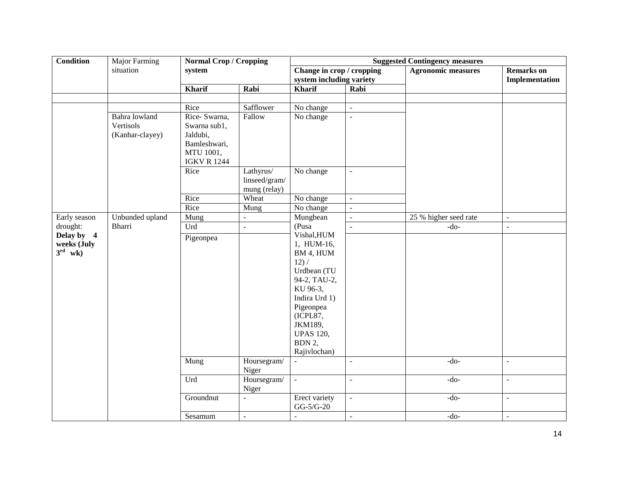| <b>Condition</b>                                 | Major Farming                                 | <b>Normal Crop / Cropping</b>                                                                |                                            | <b>Suggested Contingency measures</b>                                                                                                                                                         |                     |                           |                                     |  |
|--------------------------------------------------|-----------------------------------------------|----------------------------------------------------------------------------------------------|--------------------------------------------|-----------------------------------------------------------------------------------------------------------------------------------------------------------------------------------------------|---------------------|---------------------------|-------------------------------------|--|
|                                                  | situation                                     | system                                                                                       |                                            | Change in crop / cropping<br>system including variety                                                                                                                                         |                     | <b>Agronomic measures</b> | <b>Remarks</b> on<br>Implementation |  |
|                                                  |                                               | <b>Kharif</b>                                                                                | Rabi                                       | <b>Kharif</b>                                                                                                                                                                                 | Rabi                |                           |                                     |  |
|                                                  |                                               |                                                                                              |                                            |                                                                                                                                                                                               |                     |                           |                                     |  |
|                                                  |                                               | Rice                                                                                         | Safflower                                  | No change                                                                                                                                                                                     | $\mathbb{Z}^2$      |                           |                                     |  |
|                                                  | Bahra lowland<br>Vertisols<br>(Kanhar-clayey) | Rice- Swarna,<br>Swarna sub1,<br>Jaldubi,<br>Bamleshwari,<br>MTU 1001,<br><b>IGKV R 1244</b> | Fallow                                     | No change                                                                                                                                                                                     | $\bar{\mathcal{L}}$ |                           |                                     |  |
|                                                  |                                               | Rice                                                                                         | Lathyrus/<br>linseed/gram/<br>mung (relay) | No change                                                                                                                                                                                     | $\mathbb{Z}^2$      |                           |                                     |  |
|                                                  |                                               | Rice                                                                                         | Wheat                                      | No change                                                                                                                                                                                     | $\equiv$            |                           |                                     |  |
|                                                  |                                               | Rice                                                                                         | Mung                                       | No change                                                                                                                                                                                     | ÷,                  |                           |                                     |  |
| Early season                                     | Unbunded upland                               | Mung                                                                                         | $\overline{a}$                             | Mungbean                                                                                                                                                                                      | $\equiv$            | 25 % higher seed rate     | $\blacksquare$                      |  |
| drought:                                         | Bharri                                        | Urd                                                                                          | $\frac{1}{2}$                              | (Pusa                                                                                                                                                                                         | $\overline{a}$      | $-do-$                    | $\omega$                            |  |
| Delay by 4<br>weeks (July<br>$3^{\text{rd}}$ wk) |                                               | Pigeonpea                                                                                    |                                            | Vishal, HUM<br>1, HUM-16,<br>BM 4, HUM<br>12) /<br>Urdbean (TU<br>94-2, TAU-2,<br>KU 96-3,<br>Indira Urd 1)<br>Pigeonpea<br>(ICPL87,<br>JKM189,<br><b>UPAS 120,</b><br>BDN 2,<br>Rajivlochan) |                     |                           |                                     |  |
|                                                  |                                               | Mung                                                                                         | Hoursegram/<br>Niger                       | $\mathcal{L}$                                                                                                                                                                                 | $\overline{a}$      | $-do-$                    | $\blacksquare$                      |  |
|                                                  |                                               | Urd                                                                                          | Hoursegram/<br>Niger                       | $\mathbb{Z}^2$                                                                                                                                                                                | ÷,                  | $-do-$                    | $\blacksquare$                      |  |
|                                                  |                                               | Groundnut                                                                                    | $\overline{\phantom{a}}$                   | Erect variety<br>$GG-5/G-20$                                                                                                                                                                  | $\omega$            | $-do-$                    | $\blacksquare$                      |  |
|                                                  |                                               | Sesamum                                                                                      | $\blacksquare$                             | $\blacksquare$                                                                                                                                                                                | $\blacksquare$      | $-do-$                    | $\blacksquare$                      |  |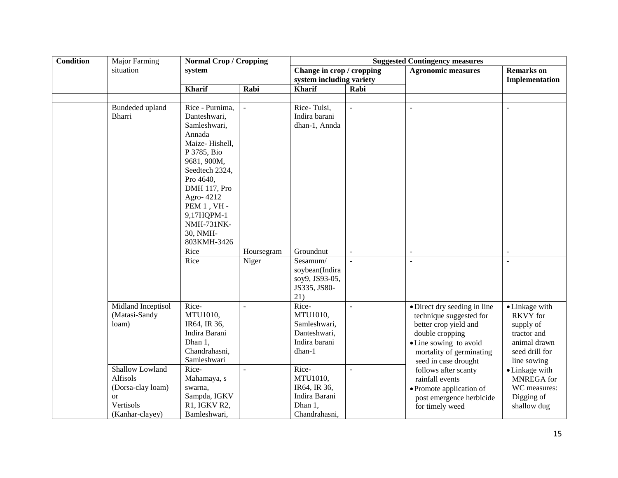| <b>Condition</b> | <b>Major Farming</b>                                                                              | <b>Normal Crop / Cropping</b>                                                                                                                                                                                                                         |                |                                                                                |                | <b>Suggested Contingency measures</b>                                                                                                                                             |                                                                                                                |  |
|------------------|---------------------------------------------------------------------------------------------------|-------------------------------------------------------------------------------------------------------------------------------------------------------------------------------------------------------------------------------------------------------|----------------|--------------------------------------------------------------------------------|----------------|-----------------------------------------------------------------------------------------------------------------------------------------------------------------------------------|----------------------------------------------------------------------------------------------------------------|--|
|                  | situation                                                                                         | system                                                                                                                                                                                                                                                |                | Change in crop / cropping                                                      |                | <b>Agronomic measures</b>                                                                                                                                                         | <b>Remarks</b> on                                                                                              |  |
|                  |                                                                                                   |                                                                                                                                                                                                                                                       |                | system including variety                                                       |                |                                                                                                                                                                                   | Implementation                                                                                                 |  |
|                  |                                                                                                   | <b>Kharif</b>                                                                                                                                                                                                                                         | Rabi           | <b>Kharif</b>                                                                  | Rabi           |                                                                                                                                                                                   |                                                                                                                |  |
|                  |                                                                                                   |                                                                                                                                                                                                                                                       |                |                                                                                |                |                                                                                                                                                                                   |                                                                                                                |  |
|                  | Bundeded upland<br>Bharri                                                                         | Rice - Purnima,<br>Danteshwari,<br>Samleshwari,<br>Annada<br>Maize-Hishell,<br>P 3785, Bio<br>9681, 900M,<br>Seedtech 2324.<br>Pro 4640,<br>DMH 117, Pro<br>Agro-4212<br>PEM $1$ , VH -<br>9,17HQPM-1<br><b>NMH-731NK-</b><br>30, NMH-<br>803KMH-3426 | $\overline{a}$ | Rice-Tulsi,<br>Indira barani<br>dhan-1, Annda                                  | $\overline{a}$ | $\overline{\phantom{a}}$                                                                                                                                                          | $\overline{a}$                                                                                                 |  |
|                  |                                                                                                   | Rice                                                                                                                                                                                                                                                  | Hoursegram     | Groundnut                                                                      | ÷.             | $\overline{\phantom{a}}$                                                                                                                                                          | $\overline{\phantom{a}}$                                                                                       |  |
|                  |                                                                                                   | Rice                                                                                                                                                                                                                                                  | Niger          | Sesamum/<br>soybean(Indira<br>soy9, JS93-05,<br>JS335, JS80-<br>21)            | ÷              | $\overline{a}$                                                                                                                                                                    | $\overline{a}$                                                                                                 |  |
|                  | Midland Inceptisol<br>(Matasi-Sandy<br>loam)                                                      | Rice-<br>MTU1010,<br>IR64, IR 36,<br>Indira Barani<br>Dhan 1,<br>Chandrahasni,<br>Samleshwari                                                                                                                                                         | $\overline{a}$ | Rice-<br>MTU1010,<br>Samleshwari,<br>Danteshwari,<br>Indira barani<br>dhan-1   | $\blacksquare$ | · Direct dry seeding in line<br>technique suggested for<br>better crop yield and<br>double cropping<br>• Line sowing to avoid<br>mortality of germinating<br>seed in case drought | • Linkage with<br><b>RKVY</b> for<br>supply of<br>tractor and<br>animal drawn<br>seed drill for<br>line sowing |  |
|                  | Shallow Lowland<br>Alfisols<br>(Dorsa-clay loam)<br><sub>or</sub><br>Vertisols<br>(Kanhar-clayey) | Rice-<br>Mahamaya, s<br>swarna,<br>Sampda, IGKV<br>R1, IGKV R2,<br>Bamleshwari,                                                                                                                                                                       | $\overline{a}$ | Rice-<br>MTU1010,<br>IR64, IR 36,<br>Indira Barani<br>Dhan 1,<br>Chandrahasni, | $\overline{a}$ | follows after scanty<br>rainfall events<br>• Promote application of<br>post emergence herbicide<br>for timely weed                                                                | • Linkage with<br>MNREGA for<br>WC measures:<br>Digging of<br>shallow dug                                      |  |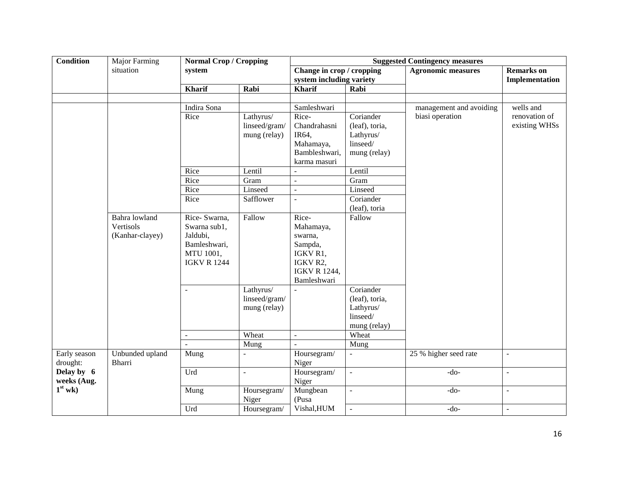| <b>Condition</b>          | <b>Major Farming</b>                          | <b>Normal Crop / Cropping</b>                                                               |                                            | <b>Suggested Contingency measures</b>                                                                  |                                                                      |                           |                                |  |  |
|---------------------------|-----------------------------------------------|---------------------------------------------------------------------------------------------|--------------------------------------------|--------------------------------------------------------------------------------------------------------|----------------------------------------------------------------------|---------------------------|--------------------------------|--|--|
|                           | situation                                     | system                                                                                      |                                            | Change in crop / cropping                                                                              |                                                                      | <b>Agronomic measures</b> | <b>Remarks</b> on              |  |  |
|                           |                                               |                                                                                             |                                            | system including variety                                                                               |                                                                      |                           | Implementation                 |  |  |
|                           |                                               | Kharif                                                                                      | Rabi                                       | <b>Kharif</b>                                                                                          | Rabi                                                                 |                           |                                |  |  |
|                           |                                               |                                                                                             |                                            |                                                                                                        |                                                                      |                           |                                |  |  |
|                           |                                               | Indira Sona                                                                                 |                                            | Samleshwari                                                                                            |                                                                      | management and avoiding   | wells and                      |  |  |
|                           |                                               | Rice                                                                                        | Lathyrus/<br>linseed/gram/<br>mung (relay) | Rice-<br>Chandrahasni<br>IR64,<br>Mahamaya,<br>Bambleshwari,<br>karma masuri                           | Coriander<br>(leaf), toria,<br>Lathyrus/<br>linseed/<br>mung (relay) | biasi operation           | renovation of<br>existing WHSs |  |  |
|                           |                                               | Rice                                                                                        | Lentil                                     | $\mathbf{r}$                                                                                           | Lentil                                                               |                           |                                |  |  |
|                           |                                               | Rice                                                                                        | Gram                                       | $\mathbf{r}$                                                                                           | Gram                                                                 |                           |                                |  |  |
|                           |                                               | Rice                                                                                        | Linseed                                    | $\omega$                                                                                               | Linseed                                                              |                           |                                |  |  |
|                           |                                               | Rice                                                                                        | Safflower                                  | $\overline{a}$                                                                                         | Coriander<br>(leaf), toria                                           |                           |                                |  |  |
|                           | Bahra lowland<br>Vertisols<br>(Kanhar-clayey) | Rice-Swarna,<br>Swarna sub1,<br>Jaldubi,<br>Bamleshwari,<br>MTU 1001,<br><b>IGKV R 1244</b> | Fallow                                     | Rice-<br>Mahamaya,<br>swarna,<br>Sampda,<br>IGKV R1,<br>IGKV R2,<br><b>IGKV R 1244,</b><br>Bamleshwari | Fallow                                                               |                           |                                |  |  |
|                           |                                               | $\sim$                                                                                      | Lathyrus/<br>linseed/gram/<br>mung (relay) |                                                                                                        | Coriander<br>(leaf), toria,<br>Lathyrus/<br>linseed/<br>mung (relay) |                           |                                |  |  |
|                           |                                               | $\overline{a}$                                                                              | Wheat                                      | $\mathbf{r}$                                                                                           | Wheat                                                                |                           |                                |  |  |
|                           |                                               | $\mathbf{r}$                                                                                | Mung                                       | $\sim$                                                                                                 | Mung                                                                 |                           |                                |  |  |
| Early season<br>drought:  | Unbunded upland<br>Bharri                     | Mung                                                                                        | $\blacksquare$                             | Hoursegram/<br>Niger                                                                                   | $\sim$                                                               | 25 % higher seed rate     | $\blacksquare$                 |  |  |
| Delay by 6<br>weeks (Aug. |                                               | Urd                                                                                         | ÷,                                         | Hoursegram/<br>Niger                                                                                   | $\overline{a}$                                                       | $-do-$                    | $\overline{\phantom{a}}$       |  |  |
| $1st$ wk)                 |                                               | Mung                                                                                        | Hoursegram/<br>Niger                       | Mungbean<br>(Pusa                                                                                      | $\overline{a}$                                                       | $-do-$                    | $\mathbf{r}$                   |  |  |
|                           |                                               | Urd                                                                                         | Hoursegram/                                | Vishal, HUM                                                                                            | $\Box$                                                               | $-do-$                    | $\equiv$                       |  |  |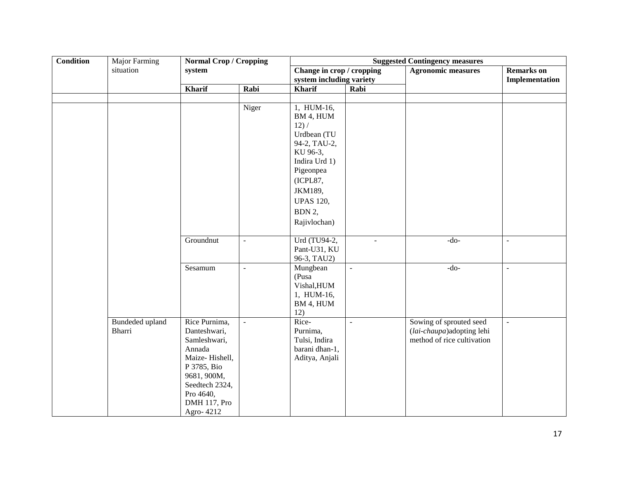| <b>Condition</b> | <b>Major Farming</b> | <b>Normal Crop / Cropping</b> |                | <b>Suggested Contingency measures</b> |                |                            |                          |  |  |
|------------------|----------------------|-------------------------------|----------------|---------------------------------------|----------------|----------------------------|--------------------------|--|--|
|                  | situation            | system                        |                | Change in crop / cropping             |                | <b>Agronomic measures</b>  | <b>Remarks</b> on        |  |  |
|                  |                      |                               |                | system including variety              |                |                            | Implementation           |  |  |
|                  |                      | Kharif                        | Rabi           | <b>Kharif</b>                         | Rabi           |                            |                          |  |  |
|                  |                      |                               |                |                                       |                |                            |                          |  |  |
|                  |                      |                               | Niger          | 1, HUM-16,                            |                |                            |                          |  |  |
|                  |                      |                               |                | BM 4, HUM                             |                |                            |                          |  |  |
|                  |                      |                               |                | 12) /                                 |                |                            |                          |  |  |
|                  |                      |                               |                | Urdbean (TU                           |                |                            |                          |  |  |
|                  |                      |                               |                | 94-2, TAU-2,                          |                |                            |                          |  |  |
|                  |                      |                               |                | KU 96-3,                              |                |                            |                          |  |  |
|                  |                      |                               |                | Indira Urd 1)                         |                |                            |                          |  |  |
|                  |                      |                               |                | Pigeonpea                             |                |                            |                          |  |  |
|                  |                      |                               |                | (ICPL87,                              |                |                            |                          |  |  |
|                  |                      |                               |                | JKM189,                               |                |                            |                          |  |  |
|                  |                      |                               |                | <b>UPAS 120,</b>                      |                |                            |                          |  |  |
|                  |                      |                               |                | BDN 2,                                |                |                            |                          |  |  |
|                  |                      |                               |                | Rajivlochan)                          |                |                            |                          |  |  |
|                  |                      |                               |                |                                       |                |                            |                          |  |  |
|                  |                      | Groundnut                     | $\blacksquare$ | Urd (TU94-2,                          | $\overline{a}$ | $-do-$                     | $\overline{\phantom{a}}$ |  |  |
|                  |                      |                               |                | Pant-U31, KU                          |                |                            |                          |  |  |
|                  |                      |                               |                | 96-3, TAU2)                           |                |                            |                          |  |  |
|                  |                      | Sesamum                       | $\equiv$       | Mungbean                              | $\equiv$       | $-do-$                     | $\overline{\phantom{a}}$ |  |  |
|                  |                      |                               |                | (Pusa                                 |                |                            |                          |  |  |
|                  |                      |                               |                | Vishal, HUM                           |                |                            |                          |  |  |
|                  |                      |                               |                | 1, HUM-16,                            |                |                            |                          |  |  |
|                  |                      |                               |                | BM 4, HUM                             |                |                            |                          |  |  |
|                  |                      |                               |                | 12)                                   |                |                            |                          |  |  |
|                  | Bundeded upland      | Rice Purnima,                 | $\omega$       | Rice-                                 | $\omega$       | Sowing of sprouted seed    | $\Box$                   |  |  |
|                  | <b>Bharri</b>        | Danteshwari,                  |                | Purnima,                              |                | (lai-chaupa)adopting lehi  |                          |  |  |
|                  |                      | Samleshwari,                  |                | Tulsi, Indira                         |                | method of rice cultivation |                          |  |  |
|                  |                      | Annada                        |                | barani dhan-1,                        |                |                            |                          |  |  |
|                  |                      | Maize-Hishell,                |                | Aditya, Anjali                        |                |                            |                          |  |  |
|                  |                      | P 3785, Bio                   |                |                                       |                |                            |                          |  |  |
|                  |                      | 9681, 900M,                   |                |                                       |                |                            |                          |  |  |
|                  |                      | Seedtech 2324,                |                |                                       |                |                            |                          |  |  |
|                  |                      | Pro 4640,<br>DMH 117, Pro     |                |                                       |                |                            |                          |  |  |
|                  |                      | Agro-4212                     |                |                                       |                |                            |                          |  |  |
|                  |                      |                               |                |                                       |                |                            |                          |  |  |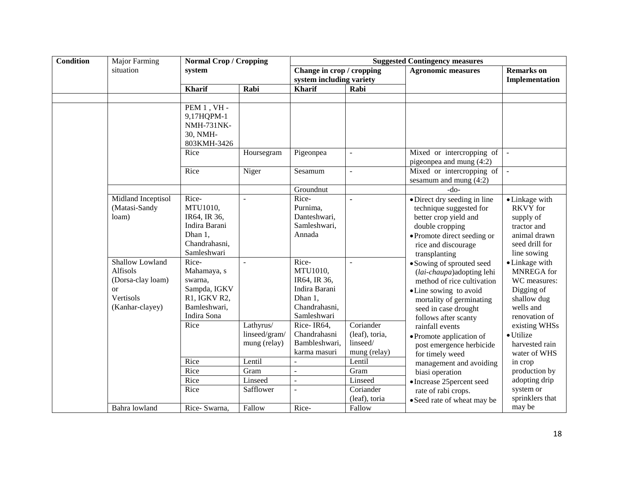| <b>Condition</b> | Major Farming                                                                                       | <b>Normal Crop / Cropping</b>                                                                          |                                                  | <b>Suggested Contingency measures</b>                                                                                                        |                                              |                                                                                                                                                                                                                                                                        |                                                                                                                                                         |  |
|------------------|-----------------------------------------------------------------------------------------------------|--------------------------------------------------------------------------------------------------------|--------------------------------------------------|----------------------------------------------------------------------------------------------------------------------------------------------|----------------------------------------------|------------------------------------------------------------------------------------------------------------------------------------------------------------------------------------------------------------------------------------------------------------------------|---------------------------------------------------------------------------------------------------------------------------------------------------------|--|
|                  | situation                                                                                           | system                                                                                                 |                                                  | Change in crop / cropping                                                                                                                    |                                              | <b>Agronomic measures</b>                                                                                                                                                                                                                                              | <b>Remarks</b> on                                                                                                                                       |  |
|                  |                                                                                                     |                                                                                                        |                                                  | system including variety                                                                                                                     |                                              |                                                                                                                                                                                                                                                                        | Implementation                                                                                                                                          |  |
|                  |                                                                                                     | <b>Kharif</b>                                                                                          | Rabi                                             | <b>Kharif</b>                                                                                                                                | Rabi                                         |                                                                                                                                                                                                                                                                        |                                                                                                                                                         |  |
|                  |                                                                                                     |                                                                                                        |                                                  |                                                                                                                                              |                                              |                                                                                                                                                                                                                                                                        |                                                                                                                                                         |  |
|                  |                                                                                                     | PEM 1, VH -<br>9,17HQPM-1<br><b>NMH-731NK-</b><br>30, NMH-<br>803KMH-3426<br>Rice                      | Hoursegram                                       | Pigeonpea                                                                                                                                    | $\mathbb{L}^2$                               | Mixed or intercropping of                                                                                                                                                                                                                                              | $\sim$                                                                                                                                                  |  |
|                  |                                                                                                     |                                                                                                        |                                                  |                                                                                                                                              |                                              | pigeonpea and mung (4:2)                                                                                                                                                                                                                                               |                                                                                                                                                         |  |
|                  |                                                                                                     | Rice                                                                                                   | Niger                                            | Sesamum                                                                                                                                      | $\blacksquare$                               | Mixed or intercropping of<br>sesamum and mung $(4:2)$                                                                                                                                                                                                                  | $\sim$                                                                                                                                                  |  |
|                  |                                                                                                     |                                                                                                        |                                                  | Groundnut                                                                                                                                    |                                              | $-do-$                                                                                                                                                                                                                                                                 |                                                                                                                                                         |  |
|                  | Midland Inceptisol<br>(Matasi-Sandy<br>loam)                                                        | Rice-<br>MTU1010,<br>IR64, IR 36,<br>Indira Barani<br>Dhan 1,<br>Chandrahasni,<br>Samleshwari          | L.                                               | Rice-<br>Purnima,<br>Danteshwari,<br>Samleshwari,<br>Annada                                                                                  | L.                                           | · Direct dry seeding in line<br>technique suggested for<br>better crop yield and<br>double cropping<br>• Promote direct seeding or<br>rice and discourage<br>transplanting                                                                                             | • Linkage with<br><b>RKVY</b> for<br>supply of<br>tractor and<br>animal drawn<br>seed drill for<br>line sowing                                          |  |
|                  | Shallow Lowland<br><b>Alfisols</b><br>(Dorsa-clay loam)<br>$\alpha$<br>Vertisols<br>(Kanhar-clayey) | Rice-<br>Mahamaya, s<br>swarna,<br>Sampda, IGKV<br>R1, IGKV R2,<br>Bamleshwari,<br>Indira Sona<br>Rice | L.<br>Lathyrus/<br>linseed/gram/<br>mung (relay) | Rice-<br>MTU1010,<br>IR64, IR 36,<br>Indira Barani<br>Dhan 1,<br>Chandrahasni,<br>Samleshwari<br>Rice-IR64,<br>Chandrahasni<br>Bambleshwari, | ÷<br>Coriander<br>(leaf), toria,<br>linseed/ | • Sowing of sprouted seed<br>(lai-chaupa) adopting lehi<br>method of rice cultivation<br>• Line sowing to avoid<br>mortality of germinating<br>seed in case drought<br>follows after scanty<br>rainfall events<br>• Promote application of<br>post emergence herbicide | • Linkage with<br>MNREGA for<br>WC measures:<br>Digging of<br>shallow dug<br>wells and<br>renovation of<br>existing WHSs<br>· Utilize<br>harvested rain |  |
|                  |                                                                                                     | Rice                                                                                                   | Lentil                                           | karma masuri                                                                                                                                 | mung (relay)<br>Lentil                       | for timely weed                                                                                                                                                                                                                                                        | water of WHS                                                                                                                                            |  |
|                  |                                                                                                     | Rice                                                                                                   | Gram                                             | $\sim$                                                                                                                                       | Gram                                         | management and avoiding                                                                                                                                                                                                                                                | in crop                                                                                                                                                 |  |
|                  |                                                                                                     | Rice                                                                                                   | Linseed                                          | $\overline{a}$                                                                                                                               | Linseed                                      | biasi operation                                                                                                                                                                                                                                                        | production by<br>adopting drip                                                                                                                          |  |
|                  |                                                                                                     | Rice                                                                                                   | Safflower                                        |                                                                                                                                              | Coriander                                    | • Increase 25 percent seed<br>rate of rabi crops.                                                                                                                                                                                                                      | system or                                                                                                                                               |  |
|                  |                                                                                                     |                                                                                                        |                                                  |                                                                                                                                              | (leaf), toria                                | • Seed rate of wheat may be                                                                                                                                                                                                                                            | sprinklers that                                                                                                                                         |  |
|                  | Bahra lowland                                                                                       | Rice-Swarna,                                                                                           | Fallow                                           | Rice-                                                                                                                                        | Fallow                                       |                                                                                                                                                                                                                                                                        | may be                                                                                                                                                  |  |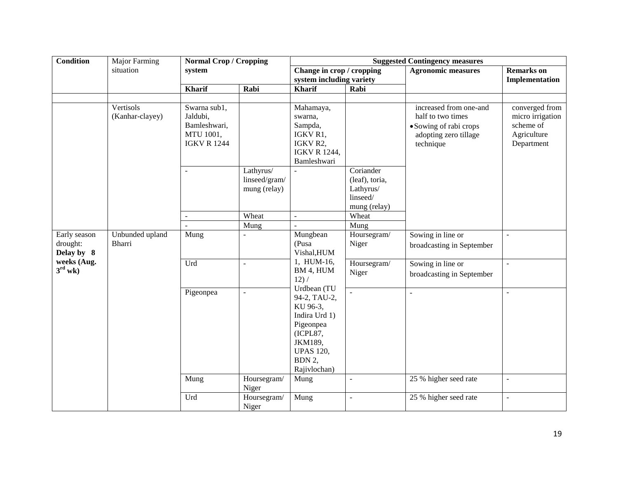| <b>Condition</b>                       | Major Farming                | <b>Normal Crop / Cropping</b>                                               |                                                     | <b>Suggested Contingency measures</b>                                                                                                      |                                                                               |                                                                                                             |                                                                              |
|----------------------------------------|------------------------------|-----------------------------------------------------------------------------|-----------------------------------------------------|--------------------------------------------------------------------------------------------------------------------------------------------|-------------------------------------------------------------------------------|-------------------------------------------------------------------------------------------------------------|------------------------------------------------------------------------------|
|                                        | situation                    | system                                                                      |                                                     | Change in crop / cropping                                                                                                                  |                                                                               | <b>Agronomic measures</b>                                                                                   | <b>Remarks</b> on                                                            |
|                                        |                              |                                                                             |                                                     | system including variety                                                                                                                   |                                                                               |                                                                                                             | Implementation                                                               |
|                                        |                              | <b>Kharif</b>                                                               | Rabi                                                | <b>Kharif</b>                                                                                                                              | Rabi                                                                          |                                                                                                             |                                                                              |
|                                        |                              |                                                                             |                                                     |                                                                                                                                            |                                                                               |                                                                                                             |                                                                              |
|                                        | Vertisols<br>(Kanhar-clayey) | Swarna sub1,<br>Jaldubi,<br>Bamleshwari,<br>MTU 1001,<br><b>IGKV R 1244</b> |                                                     | Mahamaya,<br>swarna,<br>Sampda,<br>IGKV R1,<br>IGKV R2,<br><b>IGKV R 1244,</b><br>Bamleshwari                                              |                                                                               | increased from one-and<br>half to two times<br>• Sowing of rabi crops<br>adopting zero tillage<br>technique | converged from<br>micro irrigation<br>scheme of<br>Agriculture<br>Department |
|                                        |                              | $\overline{\phantom{a}}$                                                    | Lathyrus/<br>linseed/gram/<br>mung (relay)<br>Wheat | $\equiv$                                                                                                                                   | Coriander<br>(leaf), toria,<br>Lathyrus/<br>linseed/<br>mung (relay)<br>Wheat |                                                                                                             |                                                                              |
|                                        |                              |                                                                             | Mung                                                |                                                                                                                                            | Mung                                                                          |                                                                                                             |                                                                              |
| Early season<br>drought:<br>Delay by 8 | Unbunded upland<br>Bharri    | Mung                                                                        |                                                     | Mungbean<br>(Pusa<br>Vishal, HUM                                                                                                           | Hoursegram/<br>Niger                                                          | Sowing in line or<br>broadcasting in September                                                              | $\overline{a}$                                                               |
| weeks (Aug.<br>$3^{\text{rd}}$ wk)     |                              | Urd                                                                         | $\blacksquare$                                      | 1, HUM-16,<br>BM 4, HUM<br>12) /                                                                                                           | Hoursegram/<br>Niger                                                          | Sowing in line or<br>broadcasting in September                                                              | $\overline{\phantom{a}}$                                                     |
|                                        |                              | Pigeonpea                                                                   |                                                     | Urdbean (TU<br>94-2, TAU-2,<br>KU 96-3,<br>Indira Urd 1)<br>Pigeonpea<br>(ICPL87,<br>JKM189,<br><b>UPAS 120,</b><br>BDN 2,<br>Rajivlochan) |                                                                               | ÷,                                                                                                          | $\overline{a}$                                                               |
|                                        |                              | Mung                                                                        | Hoursegram/<br>Niger                                | Mung                                                                                                                                       | $\overline{a}$                                                                | 25 % higher seed rate                                                                                       | $\blacksquare$                                                               |
|                                        |                              | Urd                                                                         | Hoursegram/<br>Niger                                | Mung                                                                                                                                       | $\overline{a}$                                                                | 25 % higher seed rate                                                                                       | $\blacksquare$                                                               |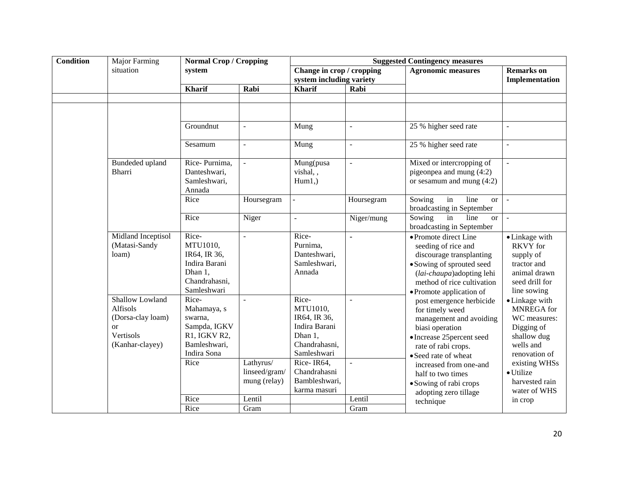| <b>Condition</b> | <b>Major Farming</b>                                                                                | <b>Normal Crop / Cropping</b>                                                                          |                                                        | <b>Suggested Contingency measures</b>                                                                                                                        |                                 |                                                                                                                                                                                                                                                                          |                                                                                                                                                                                |
|------------------|-----------------------------------------------------------------------------------------------------|--------------------------------------------------------------------------------------------------------|--------------------------------------------------------|--------------------------------------------------------------------------------------------------------------------------------------------------------------|---------------------------------|--------------------------------------------------------------------------------------------------------------------------------------------------------------------------------------------------------------------------------------------------------------------------|--------------------------------------------------------------------------------------------------------------------------------------------------------------------------------|
|                  | situation                                                                                           | system                                                                                                 |                                                        | Change in crop / cropping<br>system including variety                                                                                                        |                                 | <b>Agronomic measures</b>                                                                                                                                                                                                                                                | <b>Remarks</b> on<br>Implementation                                                                                                                                            |
|                  |                                                                                                     | <b>Kharif</b>                                                                                          | Rabi                                                   | <b>Kharif</b>                                                                                                                                                | Rabi                            |                                                                                                                                                                                                                                                                          |                                                                                                                                                                                |
|                  |                                                                                                     |                                                                                                        |                                                        |                                                                                                                                                              |                                 |                                                                                                                                                                                                                                                                          |                                                                                                                                                                                |
|                  |                                                                                                     |                                                                                                        |                                                        |                                                                                                                                                              |                                 |                                                                                                                                                                                                                                                                          |                                                                                                                                                                                |
|                  |                                                                                                     | Groundnut                                                                                              | $\overline{\phantom{a}}$                               | Mung                                                                                                                                                         | $\overline{\phantom{a}}$        | 25 % higher seed rate                                                                                                                                                                                                                                                    | $\blacksquare$                                                                                                                                                                 |
|                  |                                                                                                     | Sesamum                                                                                                | $\overline{a}$                                         | Mung                                                                                                                                                         | $\mathbf{r}$                    | 25 % higher seed rate                                                                                                                                                                                                                                                    | $\overline{a}$                                                                                                                                                                 |
|                  | Bundeded upland<br><b>Bharri</b>                                                                    | Rice-Purnima,<br>Danteshwari,<br>Samleshwari,<br>Annada                                                | ÷.                                                     | Mung(pusa<br>vishal,,<br>$Hum1,$ )                                                                                                                           | $\mathbb{Z}^2$                  | Mixed or intercropping of<br>pigeonpea and mung $(4:2)$<br>or sesamum and mung $(4:2)$                                                                                                                                                                                   | ÷,                                                                                                                                                                             |
|                  |                                                                                                     | Rice                                                                                                   | Hoursegram                                             | $\equiv$                                                                                                                                                     | Hoursegram                      | line<br>Sowing<br>in<br><sub>or</sub><br>broadcasting in September                                                                                                                                                                                                       | $\sim$                                                                                                                                                                         |
|                  |                                                                                                     | Rice                                                                                                   | Niger                                                  | $\equiv$                                                                                                                                                     | Niger/mung                      | Sowing<br>in<br>line<br><sub>or</sub><br>broadcasting in September                                                                                                                                                                                                       | $\sim$                                                                                                                                                                         |
|                  | Midland Inceptisol<br>(Matasi-Sandy<br>loam)                                                        | Rice-<br>MTU1010,<br>IR64, IR 36,<br>Indira Barani<br>Dhan 1,<br>Chandrahasni,<br>Samleshwari          | $\overline{\phantom{a}}$                               | Rice-<br>Purnima,<br>Danteshwari,<br>Samleshwari,<br>Annada                                                                                                  | ä,                              | • Promote direct Line<br>seeding of rice and<br>discourage transplanting<br>• Sowing of sprouted seed<br>(lai-chaupa) adopting lehi<br>method of rice cultivation<br>• Promote application of                                                                            | • Linkage with<br><b>RKVY</b> for<br>supply of<br>tractor and<br>animal drawn<br>seed drill for<br>line sowing                                                                 |
|                  | <b>Shallow Lowland</b><br>Alfisols<br>(Dorsa-clay loam)<br>$\alpha$<br>Vertisols<br>(Kanhar-clayey) | Rice-<br>Mahamaya, s<br>swarna,<br>Sampda, IGKV<br>R1, IGKV R2,<br>Bamleshwari,<br>Indira Sona<br>Rice | $\omega$<br>Lathyrus/<br>linseed/gram/<br>mung (relay) | Rice-<br>MTU1010,<br>IR64, IR 36,<br>Indira Barani<br>Dhan 1,<br>Chandrahasni,<br>Samleshwari<br>Rice-IR64,<br>Chandrahasni<br>Bambleshwari,<br>karma masuri | $\mathcal{L}$<br>$\mathbb{Z}^2$ | post emergence herbicide<br>for timely weed<br>management and avoiding<br>biasi operation<br>• Increase 25 percent seed<br>rate of rabi crops.<br>• Seed rate of wheat<br>increased from one-and<br>half to two times<br>· Sowing of rabi crops<br>adopting zero tillage | • Linkage with<br><b>MNREGA</b> for<br>WC measures:<br>Digging of<br>shallow dug<br>wells and<br>renovation of<br>existing WHSs<br>· Utilize<br>harvested rain<br>water of WHS |
|                  |                                                                                                     | Rice                                                                                                   | Lentil                                                 |                                                                                                                                                              | Lentil                          | technique                                                                                                                                                                                                                                                                | in crop                                                                                                                                                                        |
|                  |                                                                                                     | Rice                                                                                                   | Gram                                                   |                                                                                                                                                              | Gram                            |                                                                                                                                                                                                                                                                          |                                                                                                                                                                                |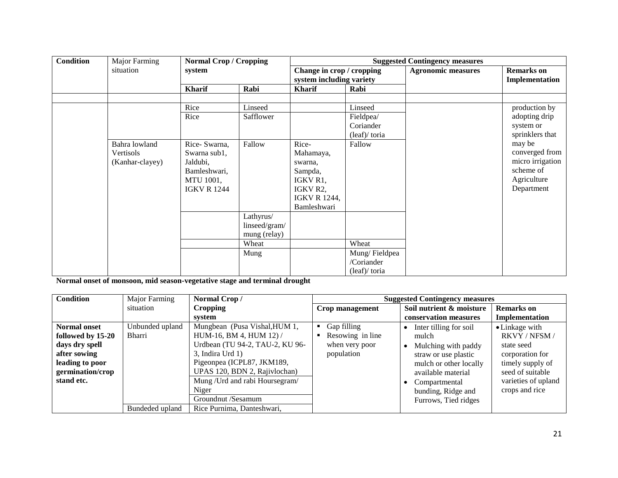| <b>Condition</b> | <b>Major Farming</b> | <b>Normal Crop / Cropping</b> |               | <b>Suggested Contingency measures</b> |                                                       |                           |                                     |
|------------------|----------------------|-------------------------------|---------------|---------------------------------------|-------------------------------------------------------|---------------------------|-------------------------------------|
|                  | situation            | system                        |               |                                       | Change in crop / cropping<br>system including variety | <b>Agronomic measures</b> | <b>Remarks</b> on<br>Implementation |
|                  |                      | <b>Kharif</b>                 | Rabi          | <b>Kharif</b>                         | Rabi                                                  |                           |                                     |
|                  |                      |                               |               |                                       |                                                       |                           |                                     |
|                  |                      | Rice                          | Linseed       |                                       | Linseed                                               |                           | production by                       |
|                  |                      | Rice                          | Safflower     |                                       | Fieldpea/                                             |                           | adopting drip                       |
|                  |                      |                               |               |                                       | Coriander                                             |                           | system or                           |
|                  |                      |                               |               |                                       | (leaf)/ toria                                         |                           | sprinklers that                     |
|                  | Bahra lowland        | Rice-Swarna,                  | Fallow        | Rice-                                 | Fallow                                                |                           | may be                              |
|                  | Vertisols            | Swarna sub1,                  |               | Mahamaya,                             |                                                       |                           | converged from                      |
|                  | (Kanhar-clayey)      | Jaldubi,                      |               | swarna,                               |                                                       |                           | micro irrigation                    |
|                  |                      | Bamleshwari,                  |               | Sampda,                               |                                                       |                           | scheme of                           |
|                  |                      | MTU 1001,                     |               | IGKV R1,                              |                                                       |                           | Agriculture                         |
|                  |                      | <b>IGKV R 1244</b>            |               | IGKV R2,                              |                                                       |                           | Department                          |
|                  |                      |                               |               | <b>IGKV R 1244,</b>                   |                                                       |                           |                                     |
|                  |                      |                               |               | Bamleshwari                           |                                                       |                           |                                     |
|                  |                      |                               | Lathyrus/     |                                       |                                                       |                           |                                     |
|                  |                      |                               | linseed/gram/ |                                       |                                                       |                           |                                     |
|                  |                      |                               | mung (relay)  |                                       |                                                       |                           |                                     |
|                  |                      |                               | Wheat         |                                       | Wheat                                                 |                           |                                     |
|                  |                      |                               | Mung          |                                       | Mung/Fieldpea                                         |                           |                                     |
|                  |                      |                               |               |                                       | /Coriander                                            |                           |                                     |
|                  |                      |                               |               |                                       | (leaf)/toria                                          |                           |                                     |

**Normal onset of monsoon, mid season-vegetative stage and terminal drought**

| <b>Condition</b>                                                                                                                | Major Farming             | Normal Crop/                                                                                                                                                                                                                  | <b>Suggested Contingency measures</b>                           |                                                                                                                                                                       |                                                                                                                                                   |
|---------------------------------------------------------------------------------------------------------------------------------|---------------------------|-------------------------------------------------------------------------------------------------------------------------------------------------------------------------------------------------------------------------------|-----------------------------------------------------------------|-----------------------------------------------------------------------------------------------------------------------------------------------------------------------|---------------------------------------------------------------------------------------------------------------------------------------------------|
|                                                                                                                                 | situation                 | <b>Cropping</b>                                                                                                                                                                                                               | Crop management                                                 | Soil nutrient & moisture                                                                                                                                              | <b>Remarks</b> on                                                                                                                                 |
|                                                                                                                                 |                           | system                                                                                                                                                                                                                        |                                                                 | conservation measures                                                                                                                                                 | Implementation                                                                                                                                    |
| <b>Normal onset</b><br>followed by 15-20<br>days dry spell<br>after sowing<br>leading to poor<br>germination/crop<br>stand etc. | Unbunded upland<br>Bharri | Mungbean (Pusa Vishal, HUM 1,<br>HUM-16, BM 4, HUM 12) /<br>Urdbean (TU 94-2, TAU-2, KU 96-<br>$3$ , Indira Urd 1)<br>Pigeonpea (ICPL87, JKM189,<br>UPAS 120, BDN 2, Rajivlochan)<br>Mung / Urd and rabi Hoursegram/<br>Niger | Gap filling<br>Resowing in line<br>when very poor<br>population | Inter tilling for soil<br>mulch<br>Mulching with paddy<br>straw or use plastic<br>mulch or other locally<br>available material<br>Compartmental<br>bunding, Ridge and | • Linkage with<br>RKVY / NFSM /<br>state seed<br>corporation for<br>timely supply of<br>seed of suitable<br>varieties of upland<br>crops and rice |
|                                                                                                                                 |                           | Groundnut /Sesamum                                                                                                                                                                                                            |                                                                 | Furrows, Tied ridges                                                                                                                                                  |                                                                                                                                                   |
|                                                                                                                                 | Bundeded upland           | Rice Purnima, Danteshwari,                                                                                                                                                                                                    |                                                                 |                                                                                                                                                                       |                                                                                                                                                   |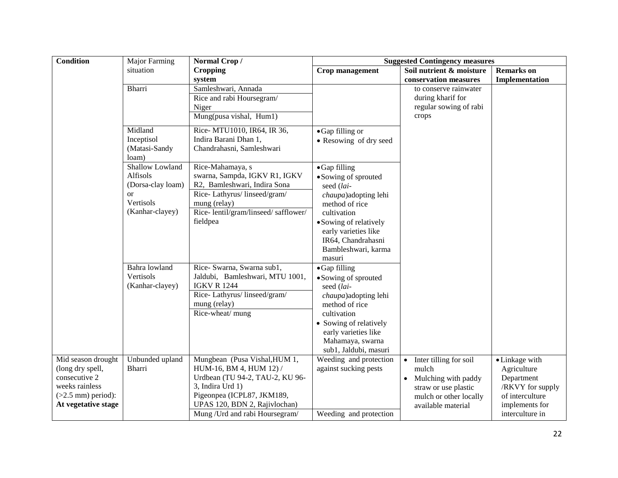| Condition                                                                                                                | <b>Major Farming</b>                                                                              | Normal Crop/                                                                                                                                                                                                      |                                                                                                                                                                                                                       | <b>Suggested Contingency measures</b>                                                                                                       |                                                                                                                         |
|--------------------------------------------------------------------------------------------------------------------------|---------------------------------------------------------------------------------------------------|-------------------------------------------------------------------------------------------------------------------------------------------------------------------------------------------------------------------|-----------------------------------------------------------------------------------------------------------------------------------------------------------------------------------------------------------------------|---------------------------------------------------------------------------------------------------------------------------------------------|-------------------------------------------------------------------------------------------------------------------------|
|                                                                                                                          | situation                                                                                         | <b>Cropping</b>                                                                                                                                                                                                   | <b>Crop management</b>                                                                                                                                                                                                | Soil nutrient & moisture                                                                                                                    | <b>Remarks</b> on                                                                                                       |
|                                                                                                                          |                                                                                                   | system                                                                                                                                                                                                            |                                                                                                                                                                                                                       | conservation measures                                                                                                                       | Implementation                                                                                                          |
|                                                                                                                          | <b>Bharri</b>                                                                                     | Samleshwari, Annada<br>Rice and rabi Hoursegram/                                                                                                                                                                  |                                                                                                                                                                                                                       | to conserve rainwater<br>during kharif for                                                                                                  |                                                                                                                         |
|                                                                                                                          |                                                                                                   | Niger                                                                                                                                                                                                             |                                                                                                                                                                                                                       | regular sowing of rabi                                                                                                                      |                                                                                                                         |
|                                                                                                                          |                                                                                                   | Mung(pusa vishal, Hum1)                                                                                                                                                                                           |                                                                                                                                                                                                                       | crops                                                                                                                                       |                                                                                                                         |
|                                                                                                                          | Midland<br>Inceptisol<br>(Matasi-Sandy<br>loam)                                                   | Rice- MTU1010, IR64, IR 36,<br>Indira Barani Dhan 1,<br>Chandrahasni, Samleshwari                                                                                                                                 | • Gap filling or<br>• Resowing of dry seed                                                                                                                                                                            |                                                                                                                                             |                                                                                                                         |
|                                                                                                                          | Shallow Lowland<br>Alfisols<br>(Dorsa-clay loam)<br><sub>or</sub><br>Vertisols<br>(Kanhar-clayey) | Rice-Mahamaya, s<br>swarna, Sampda, IGKV R1, IGKV<br>R2, Bamleshwari, Indira Sona<br>Rice-Lathyrus/linseed/gram/<br>mung (relay)<br>Rice-lentil/gram/linseed/safflower/<br>fieldpea                               | • Gap filling<br>• Sowing of sprouted<br>seed (lai-<br>chaupa)adopting lehi<br>method of rice<br>cultivation<br>• Sowing of relatively<br>early varieties like<br>IR64, Chandrahasni<br>Bambleshwari, karma           |                                                                                                                                             |                                                                                                                         |
|                                                                                                                          | Bahra lowland<br>Vertisols<br>(Kanhar-clayey)                                                     | Rice- Swarna, Swarna sub1,<br>Jaldubi, Bamleshwari, MTU 1001,<br><b>IGKV R 1244</b><br>Rice-Lathyrus/linseed/gram/<br>mung (relay)<br>Rice-wheat/ mung                                                            | masuri<br>• Gap filling<br>• Sowing of sprouted<br>seed (lai-<br>chaupa)adopting lehi<br>method of rice<br>cultivation<br>• Sowing of relatively<br>early varieties like<br>Mahamaya, swarna<br>sub1, Jaldubi, masuri |                                                                                                                                             |                                                                                                                         |
| Mid season drought<br>(long dry spell,<br>consecutive 2<br>weeks rainless<br>$(>2.5$ mm) period):<br>At vegetative stage | Unbunded upland<br><b>Bharri</b>                                                                  | Mungbean (Pusa Vishal, HUM 1,<br>HUM-16, BM 4, HUM 12) /<br>Urdbean (TU 94-2, TAU-2, KU 96-<br>3, Indira Urd 1)<br>Pigeonpea (ICPL87, JKM189,<br>UPAS 120, BDN 2, Rajivlochan)<br>Mung / Urd and rabi Hoursegram/ | Weeding and protection<br>against sucking pests<br>Weeding and protection                                                                                                                                             | Inter tilling for soil<br>$\bullet$<br>mulch<br>Mulching with paddy<br>straw or use plastic<br>mulch or other locally<br>available material | • Linkage with<br>Agriculture<br>Department<br>/RKVY for supply<br>of interculture<br>implements for<br>interculture in |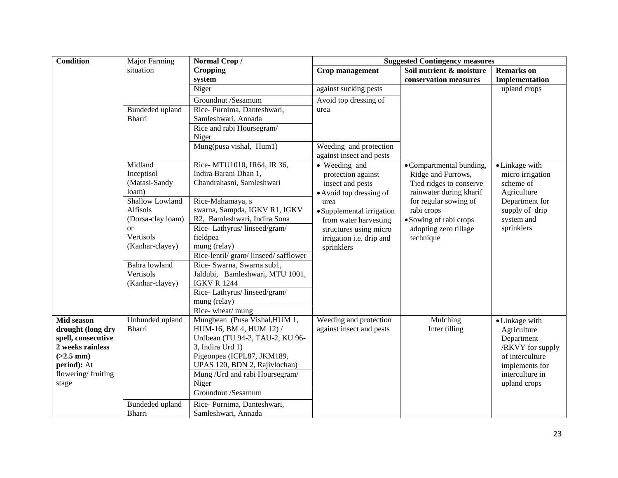| Condition                              | <b>Major Farming</b> | Normal Crop/                                          | <b>Suggested Contingency measures</b>              |                          |                                     |  |
|----------------------------------------|----------------------|-------------------------------------------------------|----------------------------------------------------|--------------------------|-------------------------------------|--|
|                                        | situation            | <b>Cropping</b>                                       | Crop management                                    | Soil nutrient & moisture | <b>Remarks</b> on                   |  |
|                                        |                      | system                                                |                                                    | conservation measures    | Implementation                      |  |
|                                        |                      | Niger                                                 | against sucking pests                              |                          | upland crops                        |  |
|                                        |                      | Groundnut /Sesamum                                    | Avoid top dressing of                              |                          |                                     |  |
|                                        | Bundeded upland      | Rice-Purnima, Danteshwari,                            | urea                                               |                          |                                     |  |
|                                        | <b>Bharri</b>        | Samleshwari, Annada                                   |                                                    |                          |                                     |  |
|                                        |                      | Rice and rabi Hoursegram/                             |                                                    |                          |                                     |  |
|                                        |                      | Niger                                                 |                                                    |                          |                                     |  |
|                                        |                      | Mung(pusa vishal, Hum1)                               | Weeding and protection<br>against insect and pests |                          |                                     |  |
|                                        | Midland              | Rice- MTU1010, IR64, IR 36,                           | • Weeding and                                      | • Compartmental bunding, | • Linkage with                      |  |
|                                        | Inceptisol           | Indira Barani Dhan 1,                                 | protection against                                 | Ridge and Furrows,       | micro irrigation                    |  |
|                                        | (Matasi-Sandy        | Chandrahasni, Samleshwari                             | insect and pests                                   | Tied ridges to conserve  | scheme of                           |  |
|                                        | loam)                |                                                       | • Avoid top dressing of                            | rainwater during kharif  | Agriculture                         |  |
|                                        | Shallow Lowland      | Rice-Mahamaya, s                                      | urea                                               | for regular sowing of    | Department for                      |  |
|                                        | Alfisols             | swarna, Sampda, IGKV R1, IGKV                         | • Supplemental irrigation                          | rabi crops               | supply of drip                      |  |
|                                        | (Dorsa-clay loam)    | R2, Bamleshwari, Indira Sona                          | from water harvesting                              | · Sowing of rabi crops   | system and                          |  |
|                                        | <sub>or</sub>        | Rice-Lathyrus/linseed/gram/                           | structures using micro                             | adopting zero tillage    | sprinklers                          |  |
|                                        | Vertisols            | fieldpea                                              | irrigation i.e. drip and                           | technique                |                                     |  |
|                                        | (Kanhar-clayey)      | mung (relay)<br>Rice-lentil/ gram/ linseed/ safflower | sprinklers                                         |                          |                                     |  |
|                                        | Bahra lowland        | Rice- Swarna, Swarna sub1,                            |                                                    |                          |                                     |  |
|                                        | Vertisols            | Jaldubi, Bamleshwari, MTU 1001,                       |                                                    |                          |                                     |  |
|                                        | (Kanhar-clayey)      | <b>IGKV R 1244</b>                                    |                                                    |                          |                                     |  |
|                                        |                      | Rice-Lathyrus/linseed/gram/                           |                                                    |                          |                                     |  |
|                                        |                      | mung (relay)                                          |                                                    |                          |                                     |  |
|                                        |                      | Rice-wheat/mung                                       |                                                    |                          |                                     |  |
| Mid season                             | Unbunded upland      | Mungbean (Pusa Vishal, HUM 1,                         | Weeding and protection                             | Mulching                 | • Linkage with                      |  |
| drought (long dry                      | <b>Bharri</b>        | HUM-16, BM 4, HUM 12) /                               | against insect and pests                           | Inter tilling            | Agriculture                         |  |
| spell, consecutive<br>2 weeks rainless |                      | Urdbean (TU 94-2, TAU-2, KU 96-                       |                                                    |                          | Department                          |  |
| $(>2.5$ mm)                            |                      | 3, Indira Urd 1)<br>Pigeonpea (ICPL87, JKM189,        |                                                    |                          | /RKVY for supply<br>of interculture |  |
| period): At                            |                      | UPAS 120, BDN 2, Rajivlochan)                         |                                                    |                          | implements for                      |  |
| flowering/fruiting                     |                      | Mung / Urd and rabi Hoursegram/                       |                                                    |                          | interculture in                     |  |
| stage                                  |                      | Niger                                                 |                                                    |                          | upland crops                        |  |
|                                        |                      | Groundnut /Sesamum                                    |                                                    |                          |                                     |  |
|                                        | Bundeded upland      | Rice-Purnima, Danteshwari,                            |                                                    |                          |                                     |  |
|                                        | Bharri               | Samleshwari, Annada                                   |                                                    |                          |                                     |  |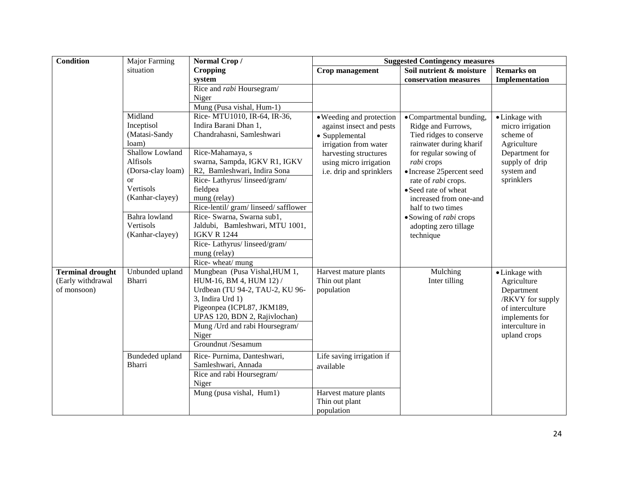| Condition                                                   | <b>Major Farming</b>                                                                                                                                                                       | Normal Crop/                                                                                                                                                                                                                                                                                                                                                                                                                         | <b>Suggested Contingency measures</b>                                                                                                                                          |                                                                                                                                                                                                                                                                                                                                                       |                                                                                                                                         |
|-------------------------------------------------------------|--------------------------------------------------------------------------------------------------------------------------------------------------------------------------------------------|--------------------------------------------------------------------------------------------------------------------------------------------------------------------------------------------------------------------------------------------------------------------------------------------------------------------------------------------------------------------------------------------------------------------------------------|--------------------------------------------------------------------------------------------------------------------------------------------------------------------------------|-------------------------------------------------------------------------------------------------------------------------------------------------------------------------------------------------------------------------------------------------------------------------------------------------------------------------------------------------------|-----------------------------------------------------------------------------------------------------------------------------------------|
|                                                             | situation                                                                                                                                                                                  | <b>Cropping</b>                                                                                                                                                                                                                                                                                                                                                                                                                      | <b>Crop management</b>                                                                                                                                                         | Soil nutrient & moisture                                                                                                                                                                                                                                                                                                                              | <b>Remarks</b> on                                                                                                                       |
|                                                             |                                                                                                                                                                                            | system                                                                                                                                                                                                                                                                                                                                                                                                                               |                                                                                                                                                                                | conservation measures                                                                                                                                                                                                                                                                                                                                 | Implementation                                                                                                                          |
|                                                             |                                                                                                                                                                                            | Rice and rabi Hoursegram/                                                                                                                                                                                                                                                                                                                                                                                                            |                                                                                                                                                                                |                                                                                                                                                                                                                                                                                                                                                       |                                                                                                                                         |
|                                                             |                                                                                                                                                                                            | Niger                                                                                                                                                                                                                                                                                                                                                                                                                                |                                                                                                                                                                                |                                                                                                                                                                                                                                                                                                                                                       |                                                                                                                                         |
|                                                             |                                                                                                                                                                                            | Mung (Pusa vishal, Hum-1)                                                                                                                                                                                                                                                                                                                                                                                                            |                                                                                                                                                                                |                                                                                                                                                                                                                                                                                                                                                       |                                                                                                                                         |
|                                                             | Midland<br>Inceptisol<br>(Matasi-Sandy<br>loam)<br>Shallow Lowland<br>Alfisols<br>(Dorsa-clay loam)<br>or<br>Vertisols<br>(Kanhar-clayey)<br>Bahra lowland<br>Vertisols<br>(Kanhar-clayey) | Rice- MTU1010, IR-64, IR-36,<br>Indira Barani Dhan 1,<br>Chandrahasni, Samleshwari<br>Rice-Mahamaya, s<br>swarna, Sampda, IGKV R1, IGKV<br>R2, Bamleshwari, Indira Sona<br>Rice-Lathyrus/linseed/gram/<br>fieldpea<br>mung (relay)<br>Rice-lentil/ gram/ linseed/ safflower<br>Rice- Swarna, Swarna sub1,<br>Jaldubi, Bamleshwari, MTU 1001,<br><b>IGKV R 1244</b><br>Rice-Lathyrus/linseed/gram/<br>mung (relay)<br>Rice-wheat/mung | · Weeding and protection<br>against insect and pests<br>• Supplemental<br>irrigation from water<br>harvesting structures<br>using micro irrigation<br>i.e. drip and sprinklers | • Compartmental bunding,<br>Ridge and Furrows,<br>Tied ridges to conserve<br>rainwater during kharif<br>for regular sowing of<br>rabi crops<br>· Increase 25 percent seed<br>rate of <i>rabi</i> crops.<br>• Seed rate of wheat<br>increased from one-and<br>half to two times<br>• Sowing of <i>rabi</i> crops<br>adopting zero tillage<br>technique | • Linkage with<br>micro irrigation<br>scheme of<br>Agriculture<br>Department for<br>supply of drip<br>system and<br>sprinklers          |
| <b>Terminal drought</b><br>(Early withdrawal<br>of monsoon) | Unbunded upland<br><b>Bharri</b>                                                                                                                                                           | Mungbean (Pusa Vishal, HUM 1,<br>HUM-16, BM 4, HUM 12) /<br>Urdbean (TU 94-2, TAU-2, KU 96-<br>3, Indira Urd 1)<br>Pigeonpea (ICPL87, JKM189,<br>UPAS 120, BDN 2, Rajivlochan)<br>Mung / Urd and rabi Hoursegram/<br>Niger<br>Groundnut /Sesamum                                                                                                                                                                                     | Harvest mature plants<br>Thin out plant<br>population                                                                                                                          | Mulching<br>Inter tilling                                                                                                                                                                                                                                                                                                                             | • Linkage with<br>Agriculture<br>Department<br>/RKVY for supply<br>of interculture<br>implements for<br>interculture in<br>upland crops |
|                                                             | Bundeded upland<br>Bharri                                                                                                                                                                  | Rice-Purnima, Danteshwari,<br>Samleshwari, Annada<br>Rice and rabi Hoursegram/<br>Niger<br>Mung (pusa vishal, Hum1)                                                                                                                                                                                                                                                                                                                  | Life saving irrigation if<br>available<br>Harvest mature plants<br>Thin out plant<br>population                                                                                |                                                                                                                                                                                                                                                                                                                                                       |                                                                                                                                         |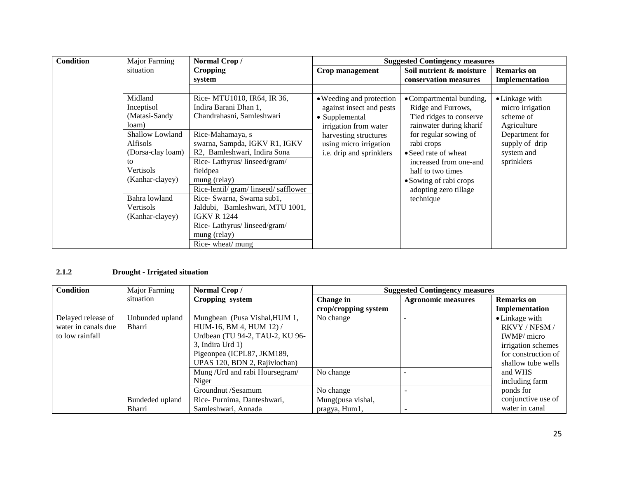| Condition | Major Farming     | Normal Crop/                       | <b>Suggested Contingency measures</b> |                          |                   |
|-----------|-------------------|------------------------------------|---------------------------------------|--------------------------|-------------------|
|           | situation         | <b>Cropping</b>                    | Crop management                       | Soil nutrient & moisture | <b>Remarks</b> on |
|           |                   | system                             |                                       | conservation measures    | Implementation    |
|           |                   |                                    |                                       |                          |                   |
|           | Midland           | Rice- MTU1010, IR64, IR 36,        | • Weeding and protection              | • Compartmental bunding, | • Linkage with    |
|           | Inceptisol        | Indira Barani Dhan 1.              | against insect and pests              | Ridge and Furrows,       | micro irrigation  |
|           | (Matasi-Sandy     | Chandrahasni, Samleshwari          | • Supplemental                        | Tied ridges to conserve  | scheme of         |
|           | loam)             |                                    | irrigation from water                 | rainwater during kharif  | Agriculture       |
|           | Shallow Lowland   | Rice-Mahamaya, s                   | harvesting structures                 | for regular sowing of    | Department for    |
|           | Alfisols          | swarna, Sampda, IGKV R1, IGKV      | using micro irrigation                | rabi crops               | supply of drip    |
|           | (Dorsa-clay loam) | R2, Bamleshwari, Indira Sona       | i.e. drip and sprinklers              | • Seed rate of wheat     | system and        |
|           | to                | Rice-Lathyrus/linseed/gram/        |                                       | increased from one-and   | sprinklers        |
|           | Vertisols         | fieldpea                           |                                       | half to two times        |                   |
|           | (Kanhar-clayey)   | mung (relay)                       |                                       | • Sowing of rabi crops   |                   |
|           |                   | Rice-lentil/gram/linseed/safflower |                                       | adopting zero tillage    |                   |
|           | Bahra lowland     | Rice- Swarna, Swarna sub1,         |                                       | technique                |                   |
|           | Vertisols         | Jaldubi, Bamleshwari, MTU 1001,    |                                       |                          |                   |
|           | (Kanhar-clayey)   | <b>IGKV R 1244</b>                 |                                       |                          |                   |
|           |                   | Rice-Lathyrus/linseed/gram/        |                                       |                          |                   |
|           |                   | mung (relay)                       |                                       |                          |                   |
|           |                   | Rice-wheat/mung                    |                                       |                          |                   |

### **2.1.2 Drought - Irrigated situation**

| <b>Condition</b>    | Major Farming   | Normal Crop/                    |                      | <b>Suggested Contingency measures</b> |                     |
|---------------------|-----------------|---------------------------------|----------------------|---------------------------------------|---------------------|
|                     | situation       | Cropping system                 | Change in            | <b>Agronomic measures</b>             | <b>Remarks</b> on   |
|                     |                 |                                 | crop/cropping system |                                       | Implementation      |
| Delayed release of  | Unbunded upland | Mungbean (Pusa Vishal, HUM 1,   | No change            |                                       | • Linkage with      |
| water in canals due | Bharri          | HUM-16, BM 4, HUM 12) /         |                      |                                       | RKVY / NFSM /       |
| to low rainfall     |                 | Urdbean (TU 94-2, TAU-2, KU 96- |                      |                                       | <b>IWMP</b> / micro |
|                     |                 | $3$ , Indira Urd $1$ )          |                      |                                       | irrigation schemes  |
|                     |                 | Pigeonpea (ICPL87, JKM189,      |                      |                                       | for construction of |
|                     |                 | UPAS 120, BDN 2, Rajivlochan)   |                      |                                       | shallow tube wells  |
|                     |                 | Mung / Urd and rabi Hoursegram/ | No change            |                                       | and WHS             |
|                     |                 | Niger                           |                      |                                       | including farm      |
|                     |                 | Groundnut /Sesamum              | No change            |                                       | ponds for           |
|                     | Bundeded upland | Rice-Purnima, Danteshwari,      | Mung(pusa vishal,    |                                       | conjunctive use of  |
|                     | Bharri          | Samleshwari, Annada             | pragya, Hum1,        |                                       | water in canal      |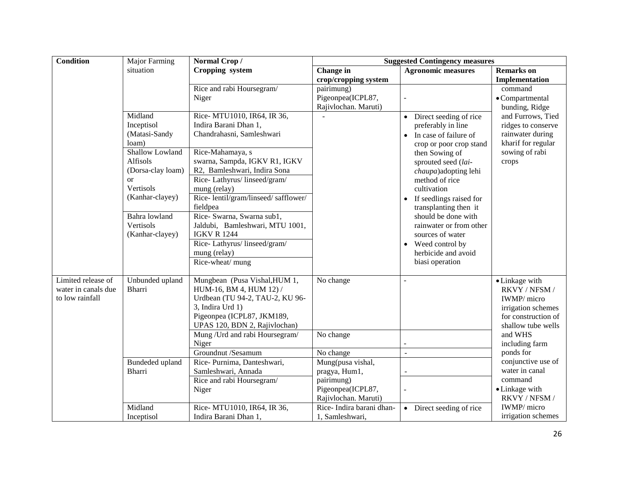| <b>Condition</b>                                             | <b>Major Farming</b>                                                                                                                                                                                  | Normal Crop/                                                                                                                                                                                                                                                                                                                                                                                                                       |                                                                                                                                      | <b>Suggested Contingency measures</b>                                                                                                                                                                                                                                                                                                                                                                                                 |                                                                                                                                                                                                                                                   |
|--------------------------------------------------------------|-------------------------------------------------------------------------------------------------------------------------------------------------------------------------------------------------------|------------------------------------------------------------------------------------------------------------------------------------------------------------------------------------------------------------------------------------------------------------------------------------------------------------------------------------------------------------------------------------------------------------------------------------|--------------------------------------------------------------------------------------------------------------------------------------|---------------------------------------------------------------------------------------------------------------------------------------------------------------------------------------------------------------------------------------------------------------------------------------------------------------------------------------------------------------------------------------------------------------------------------------|---------------------------------------------------------------------------------------------------------------------------------------------------------------------------------------------------------------------------------------------------|
|                                                              | situation                                                                                                                                                                                             | Cropping system                                                                                                                                                                                                                                                                                                                                                                                                                    | Change in                                                                                                                            | <b>Agronomic measures</b>                                                                                                                                                                                                                                                                                                                                                                                                             | <b>Remarks</b> on                                                                                                                                                                                                                                 |
|                                                              |                                                                                                                                                                                                       |                                                                                                                                                                                                                                                                                                                                                                                                                                    | crop/cropping system                                                                                                                 |                                                                                                                                                                                                                                                                                                                                                                                                                                       | Implementation                                                                                                                                                                                                                                    |
|                                                              |                                                                                                                                                                                                       | Rice and rabi Hoursegram/                                                                                                                                                                                                                                                                                                                                                                                                          | pairimung)                                                                                                                           |                                                                                                                                                                                                                                                                                                                                                                                                                                       | command                                                                                                                                                                                                                                           |
|                                                              |                                                                                                                                                                                                       | Niger                                                                                                                                                                                                                                                                                                                                                                                                                              | Pigeonpea(ICPL87,                                                                                                                    |                                                                                                                                                                                                                                                                                                                                                                                                                                       | • Compartmental                                                                                                                                                                                                                                   |
|                                                              |                                                                                                                                                                                                       |                                                                                                                                                                                                                                                                                                                                                                                                                                    | Rajivlochan. Maruti)                                                                                                                 |                                                                                                                                                                                                                                                                                                                                                                                                                                       | bunding, Ridge                                                                                                                                                                                                                                    |
|                                                              | Midland<br>Inceptisol<br>(Matasi-Sandy<br>loam)<br>Shallow Lowland<br>Alfisols<br>(Dorsa-clay loam)<br><sub>or</sub><br>Vertisols<br>(Kanhar-clayey)<br>Bahra lowland<br>Vertisols<br>(Kanhar-clayey) | Rice- MTU1010, IR64, IR 36,<br>Indira Barani Dhan 1,<br>Chandrahasni, Samleshwari<br>Rice-Mahamaya, s<br>swarna, Sampda, IGKV R1, IGKV<br>R2, Bamleshwari, Indira Sona<br>Rice-Lathyrus/linseed/gram/<br>mung (relay)<br>Rice-lentil/gram/linseed/safflower/<br>fieldpea<br>Rice- Swarna, Swarna sub1,<br>Jaldubi, Bamleshwari, MTU 1001,<br><b>IGKV R 1244</b><br>Rice-Lathyrus/linseed/gram/<br>mung (relay)<br>Rice-wheat/ mung |                                                                                                                                      | Direct seeding of rice<br>$\bullet$<br>preferably in line<br>In case of failure of<br>$\bullet$<br>crop or poor crop stand<br>then Sowing of<br>sprouted seed (lai-<br>chaupa)adopting lehi<br>method of rice<br>cultivation<br>If seedlings raised for<br>$\bullet$<br>transplanting then it<br>should be done with<br>rainwater or from other<br>sources of water<br>Weed control by<br>٠<br>herbicide and avoid<br>biasi operation | and Furrows, Tied<br>ridges to conserve<br>rainwater during<br>kharif for regular<br>sowing of rabi<br>crops                                                                                                                                      |
| Limited release of<br>water in canals due<br>to low rainfall | Unbunded upland<br>Bharri<br>Bundeded upland<br>Bharri                                                                                                                                                | Mungbean (Pusa Vishal, HUM 1,<br>HUM-16, BM 4, HUM 12) /<br>Urdbean (TU 94-2, TAU-2, KU 96-<br>3, Indira Urd 1)<br>Pigeonpea (ICPL87, JKM189,<br>UPAS 120, BDN 2, Rajivlochan)<br>Mung / Urd and rabi Hoursegram/<br>Niger<br>Groundnut /Sesamum<br>Rice-Purnima, Danteshwari,<br>Samleshwari, Annada<br>Rice and rabi Hoursegram/<br>Niger                                                                                        | No change<br>No change<br>No change<br>Mung(pusa vishal,<br>pragya, Hum1,<br>pairimung)<br>Pigeonpea(ICPL87,<br>Rajivlochan. Maruti) | $\overline{a}$<br>$\overline{a}$                                                                                                                                                                                                                                                                                                                                                                                                      | • Linkage with<br>RKVY / NFSM /<br>IWMP/ micro<br>irrigation schemes<br>for construction of<br>shallow tube wells<br>and WHS<br>including farm<br>ponds for<br>conjunctive use of<br>water in canal<br>command<br>• Linkage with<br>RKVY / NFSM / |
|                                                              | Midland<br>Inceptisol                                                                                                                                                                                 | Rice- MTU1010, IR64, IR 36,<br>Indira Barani Dhan 1,                                                                                                                                                                                                                                                                                                                                                                               | Rice-Indira barani dhan-<br>1, Samleshwari,                                                                                          | • Direct seeding of rice                                                                                                                                                                                                                                                                                                                                                                                                              | IWMP/ micro<br>irrigation schemes                                                                                                                                                                                                                 |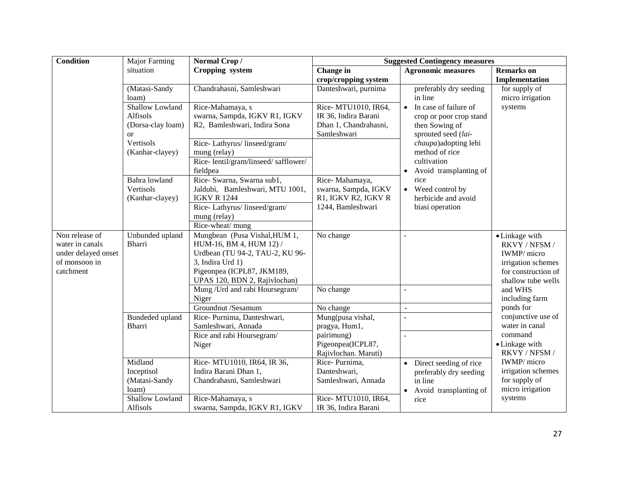| <b>Condition</b>                                                                       | Major Farming                                                        | Normal Crop/                                                                                                                                                                   | <b>Suggested Contingency measures</b>                                                                      |                                                                                                        |                                                                                                                   |
|----------------------------------------------------------------------------------------|----------------------------------------------------------------------|--------------------------------------------------------------------------------------------------------------------------------------------------------------------------------|------------------------------------------------------------------------------------------------------------|--------------------------------------------------------------------------------------------------------|-------------------------------------------------------------------------------------------------------------------|
|                                                                                        | situation                                                            | Cropping system                                                                                                                                                                | Change in                                                                                                  | <b>Agronomic measures</b>                                                                              | <b>Remarks</b> on                                                                                                 |
|                                                                                        |                                                                      |                                                                                                                                                                                | crop/cropping system                                                                                       |                                                                                                        | Implementation                                                                                                    |
|                                                                                        | (Matasi-Sandy<br>loam)                                               | Chandrahasni, Samleshwari                                                                                                                                                      | Danteshwari, purnima                                                                                       | preferably dry seeding<br>in line                                                                      | for supply of<br>micro irrigation                                                                                 |
|                                                                                        | Shallow Lowland<br><b>Alfisols</b><br>(Dorsa-clay loam)<br><b>or</b> | Rice-Mahamaya, s<br>swarna, Sampda, IGKV R1, IGKV<br>R2, Bamleshwari, Indira Sona                                                                                              | Rice- MTU1010, IR64,<br>IR 36, Indira Barani<br>Dhan 1, Chandrahasni,<br>Samleshwari                       | In case of failure of<br>$\bullet$<br>crop or poor crop stand<br>then Sowing of<br>sprouted seed (lai- | systems                                                                                                           |
|                                                                                        | Vertisols<br>(Kanhar-clayey)                                         | Rice-Lathyrus/linseed/gram/<br>mung (relay)<br>Rice-lentil/gram/linseed/safflower/<br>fieldpea                                                                                 |                                                                                                            | chaupa)adopting lehi<br>method of rice<br>cultivation<br>Avoid transplanting of                        |                                                                                                                   |
|                                                                                        | Bahra lowland<br>Vertisols<br>(Kanhar-clayey)                        | Rice- Swarna, Swarna sub1,<br>Jaldubi, Bamleshwari, MTU 1001,<br><b>IGKV R 1244</b><br>Rice-Lathyrus/linseed/gram/<br>mung (relay)<br>Rice-wheat/ mung                         | Rice-Mahamaya,<br>swarna, Sampda, IGKV<br>R1, IGKV R2, IGKV R<br>1244, Bamleshwari                         | rice<br>Weed control by<br>$\bullet$<br>herbicide and avoid<br>biasi operation                         |                                                                                                                   |
| Non release of<br>water in canals<br>under delayed onset<br>of monsoon in<br>catchment | Unbunded upland<br><b>Bharri</b>                                     | Mungbean (Pusa Vishal, HUM 1,<br>HUM-16, BM 4, HUM 12) /<br>Urdbean (TU 94-2, TAU-2, KU 96-<br>3, Indira Urd 1)<br>Pigeonpea (ICPL87, JKM189,<br>UPAS 120, BDN 2, Rajivlochan) | No change                                                                                                  |                                                                                                        | • Linkage with<br>RKVY / NFSM /<br>IWMP/ micro<br>irrigation schemes<br>for construction of<br>shallow tube wells |
|                                                                                        |                                                                      | Mung / Urd and rabi Hoursegram/<br>Niger                                                                                                                                       | No change                                                                                                  | $\overline{a}$                                                                                         | and WHS<br>including farm                                                                                         |
|                                                                                        | Bundeded upland<br>Bharri                                            | Groundnut /Sesamum<br>Rice-Purnima, Danteshwari,<br>Samleshwari, Annada<br>Rice and rabi Hoursegram/<br>Niger                                                                  | No change<br>Mung(pusa vishal,<br>pragya, Hum1,<br>pairimung)<br>Pigeonpea(ICPL87,<br>Rajivlochan. Maruti) | $\sim$                                                                                                 | ponds for<br>conjunctive use of<br>water in canal<br>command<br>• Linkage with<br>RKVY / NFSM /                   |
|                                                                                        | Midland<br>Inceptisol<br>(Matasi-Sandy<br>loam)<br>Shallow Lowland   | Rice-MTU1010, IR64, IR 36,<br>Indira Barani Dhan 1,<br>Chandrahasni, Samleshwari<br>Rice-Mahamaya, s                                                                           | Rice-Purnima,<br>Danteshwari,<br>Samleshwari, Annada<br>Rice- MTU1010, IR64,                               | Direct seeding of rice<br>preferably dry seeding<br>in line<br>Avoid transplanting of<br>$\bullet$     | IWMP/ micro<br>irrigation schemes<br>for supply of<br>micro irrigation<br>systems                                 |
|                                                                                        | Alfisols                                                             | swarna, Sampda, IGKV R1, IGKV                                                                                                                                                  | IR 36, Indira Barani                                                                                       | rice                                                                                                   |                                                                                                                   |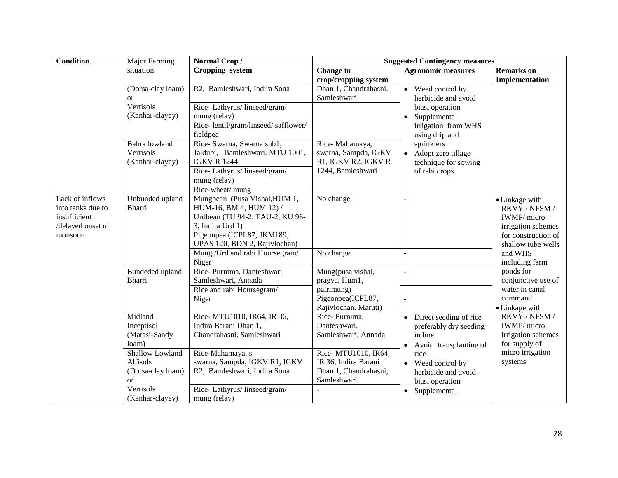| <b>Condition</b>  | Major Farming            | Normal Crop/                                      | <b>Suggested Contingency measures</b>        |                                     |                             |  |
|-------------------|--------------------------|---------------------------------------------------|----------------------------------------------|-------------------------------------|-----------------------------|--|
|                   | situation                | Cropping system                                   | Change in                                    | <b>Agronomic measures</b>           | <b>Remarks</b> on           |  |
|                   |                          |                                                   | crop/cropping system                         |                                     | Implementation              |  |
|                   | (Dorsa-clay loam)        | R2, Bamleshwari, Indira Sona                      | Dhan 1, Chandrahasni,                        | • Weed control by                   |                             |  |
|                   | $\alpha$                 |                                                   | Samleshwari                                  | herbicide and avoid                 |                             |  |
|                   | Vertisols                | Rice-Lathyrus/linseed/gram/                       |                                              | biasi operation                     |                             |  |
|                   | (Kanhar-clayey)          | mung (relay)                                      |                                              | Supplemental<br>$\bullet$           |                             |  |
|                   |                          | Rice-lentil/gram/linseed/safflower/               |                                              | irrigation from WHS                 |                             |  |
|                   |                          | fieldpea                                          |                                              | using drip and                      |                             |  |
|                   | Bahra lowland            | Rice- Swarna, Swarna sub1,                        | Rice-Mahamaya,                               | sprinklers                          |                             |  |
|                   | Vertisols                | Jaldubi, Bamleshwari, MTU 1001,                   | swarna, Sampda, IGKV                         | Adopt zero tillage<br>$\bullet$     |                             |  |
|                   | (Kanhar-clayey)          | <b>IGKV R 1244</b>                                | R1, IGKV R2, IGKV R                          | technique for sowing                |                             |  |
|                   |                          | Rice-Lathyrus/linseed/gram/                       | 1244, Bamleshwari                            | of rabi crops                       |                             |  |
|                   |                          | mung (relay)                                      |                                              |                                     |                             |  |
|                   |                          | Rice-wheat/ mung                                  |                                              |                                     |                             |  |
| Lack of inflows   | Unbunded upland          | Mungbean (Pusa Vishal, HUM 1,                     | No change                                    |                                     | • Linkage with              |  |
| into tanks due to | Bharri                   | HUM-16, BM 4, HUM 12) /                           |                                              |                                     | RKVY / NFSM /               |  |
| insufficient      |                          | Urdbean (TU 94-2, TAU-2, KU 96-                   |                                              |                                     | IWMP/ micro                 |  |
| /delayed onset of |                          | 3, Indira Urd 1)                                  |                                              |                                     | irrigation schemes          |  |
| monsoon           |                          | Pigeonpea (ICPL87, JKM189,                        |                                              |                                     | for construction of         |  |
|                   |                          | UPAS 120, BDN 2, Rajivlochan)                     |                                              |                                     | shallow tube wells          |  |
|                   |                          | Mung / Urd and rabi Hoursegram/                   | No change                                    | L.                                  | and WHS                     |  |
|                   |                          | Niger                                             |                                              |                                     | including farm              |  |
|                   | Bundeded upland          | Rice-Purnima, Danteshwari,                        | Mung(pusa vishal,                            | $\overline{a}$                      | ponds for                   |  |
|                   | Bharri                   | Samleshwari, Annada                               | pragya, Hum1,                                |                                     | conjunctive use of          |  |
|                   |                          | Rice and rabi Hoursegram/                         | pairimung)                                   |                                     | water in canal              |  |
|                   |                          | Niger                                             | Pigeonpea(ICPL87,                            |                                     | command                     |  |
|                   |                          |                                                   | Rajivlochan. Maruti)                         |                                     | • Linkage with              |  |
|                   | Midland                  | Rice- MTU1010, IR64, IR 36,                       | Rice-Purnima,                                | Direct seeding of rice<br>$\bullet$ | RKVY / NFSM /               |  |
|                   | Inceptisol               | Indira Barani Dhan 1,                             | Danteshwari,                                 | preferably dry seeding              | IWMP/ micro                 |  |
|                   | (Matasi-Sandy            | Chandrahasni, Samleshwari                         | Samleshwari, Annada                          | in line                             | irrigation schemes          |  |
|                   | loam)<br>Shallow Lowland |                                                   |                                              | Avoid transplanting of<br>$\bullet$ | for supply of               |  |
|                   | Alfisols                 | Rice-Mahamaya, s<br>swarna, Sampda, IGKV R1, IGKV | Rice- MTU1010, IR64,<br>IR 36, Indira Barani | rice                                | micro irrigation<br>systems |  |
|                   | (Dorsa-clay loam)        | R2, Bamleshwari, Indira Sona                      | Dhan 1, Chandrahasni,                        | • Weed control by                   |                             |  |
|                   | <sub>or</sub>            |                                                   | Samleshwari                                  | herbicide and avoid                 |                             |  |
|                   | Vertisols                | Rice-Lathyrus/linseed/gram/                       |                                              | biasi operation                     |                             |  |
|                   | (Kanhar-clayey)          | mung (relay)                                      |                                              | Supplemental<br>$\bullet$           |                             |  |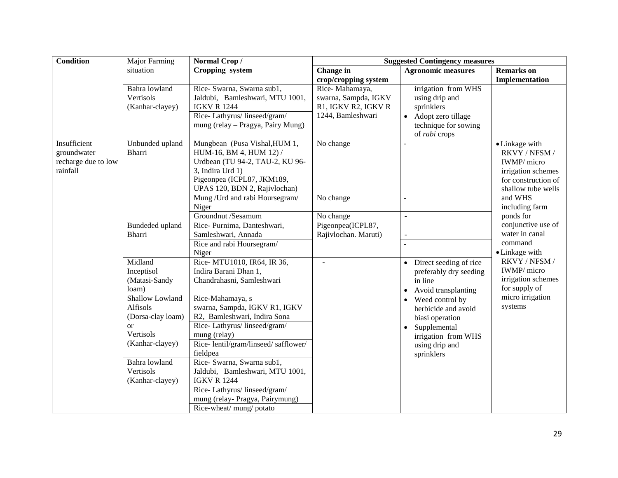| <b>Condition</b>    | Major Farming     | Normal Crop/                                                     | <b>Suggested Contingency measures</b> |                                       |                           |
|---------------------|-------------------|------------------------------------------------------------------|---------------------------------------|---------------------------------------|---------------------------|
|                     | situation         | Cropping system                                                  | Change in                             | <b>Agronomic measures</b>             | <b>Remarks</b> on         |
|                     |                   |                                                                  | crop/cropping system                  |                                       | Implementation            |
|                     | Bahra lowland     | Rice- Swarna, Swarna sub1,                                       | Rice-Mahamaya,                        | irrigation from WHS                   |                           |
|                     | Vertisols         | Jaldubi, Bamleshwari, MTU 1001,                                  | swarna, Sampda, IGKV                  | using drip and                        |                           |
|                     | (Kanhar-clayey)   | <b>IGKV R 1244</b>                                               | R1, IGKV R2, IGKV R                   | sprinklers                            |                           |
|                     |                   | Rice-Lathyrus/linseed/gram/<br>mung (relay – Pragya, Pairy Mung) | 1244, Bamleshwari                     | Adopt zero tillage                    |                           |
|                     |                   |                                                                  |                                       | technique for sowing<br>of rabi crops |                           |
| Insufficient        | Unbunded upland   | Mungbean (Pusa Vishal, HUM 1,                                    | No change                             |                                       | • Linkage with            |
| groundwater         | Bharri            | HUM-16, BM 4, HUM 12) /                                          |                                       |                                       | RKVY / NFSM /             |
| recharge due to low |                   | Urdbean (TU 94-2, TAU-2, KU 96-                                  |                                       |                                       | IWMP/ micro               |
| rainfall            |                   | 3, Indira Urd 1)                                                 |                                       |                                       | irrigation schemes        |
|                     |                   | Pigeonpea (ICPL87, JKM189,                                       |                                       |                                       | for construction of       |
|                     |                   | UPAS 120, BDN 2, Rajivlochan)                                    |                                       |                                       | shallow tube wells        |
|                     |                   | Mung / Urd and rabi Hoursegram/                                  | No change                             |                                       | and WHS                   |
|                     |                   | Niger                                                            |                                       |                                       | including farm            |
|                     |                   | Groundnut /Sesamum                                               | No change                             | $\overline{a}$                        | ponds for                 |
|                     | Bundeded upland   | Rice-Purnima, Danteshwari,                                       | Pigeonpea(ICPL87,                     |                                       | conjunctive use of        |
|                     | Bharri            | Samleshwari, Annada                                              | Rajivlochan. Maruti)                  |                                       | water in canal<br>command |
|                     |                   | Rice and rabi Hoursegram/<br>Niger                               |                                       |                                       | • Linkage with            |
|                     | Midland           | Rice- MTU1010, IR64, IR 36,                                      | $\overline{a}$                        | Direct seeding of rice<br>$\bullet$   | RKVY / NFSM /             |
|                     | Inceptisol        | Indira Barani Dhan 1,                                            |                                       | preferably dry seeding                | IWMP/micro                |
|                     | (Matasi-Sandy     | Chandrahasni, Samleshwari                                        |                                       | in line                               | irrigation schemes        |
|                     | loam)             |                                                                  |                                       | Avoid transplanting<br>$\bullet$      | for supply of             |
|                     | Shallow Lowland   | Rice-Mahamaya, s                                                 |                                       | Weed control by                       | micro irrigation          |
|                     | Alfisols          | swarna, Sampda, IGKV R1, IGKV                                    |                                       | herbicide and avoid                   | systems                   |
|                     | (Dorsa-clay loam) | R2, Bamleshwari, Indira Sona                                     |                                       | biasi operation                       |                           |
|                     | <sub>or</sub>     | Rice-Lathyrus/linseed/gram/                                      |                                       | Supplemental                          |                           |
|                     | Vertisols         | mung (relay)                                                     |                                       | irrigation from WHS                   |                           |
|                     | (Kanhar-clayey)   | Rice-lentil/gram/linseed/safflower/                              |                                       | using drip and                        |                           |
|                     |                   | fieldpea                                                         |                                       | sprinklers                            |                           |
|                     | Bahra lowland     | Rice- Swarna, Swarna sub1,                                       |                                       |                                       |                           |
|                     | Vertisols         | Jaldubi, Bamleshwari, MTU 1001,                                  |                                       |                                       |                           |
|                     | (Kanhar-clayey)   | <b>IGKV R 1244</b><br>Rice-Lathyrus/linseed/gram/                |                                       |                                       |                           |
|                     |                   | mung (relay- Pragya, Pairymung)                                  |                                       |                                       |                           |
|                     |                   | Rice-wheat/mung/potato                                           |                                       |                                       |                           |
|                     |                   |                                                                  |                                       |                                       |                           |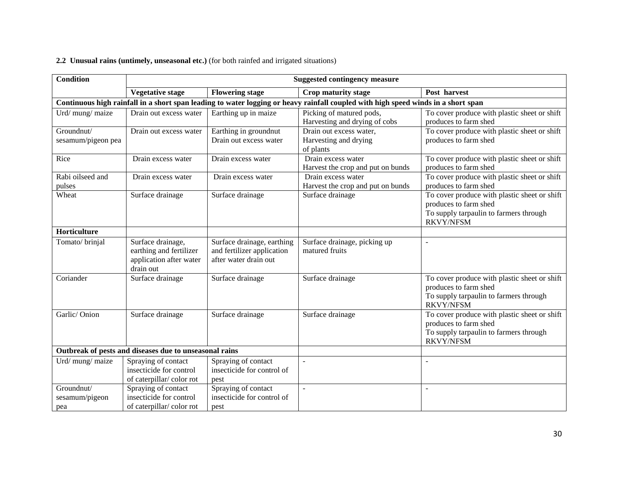### **2.2 Unusual rains (untimely, unseasonal etc.)** (for both rainfed and irrigated situations)

| <b>Condition</b>                    | <b>Suggested contingency measure</b>                                                 |                                                                                   |                                                                                                                                   |                                                                                                                                     |  |
|-------------------------------------|--------------------------------------------------------------------------------------|-----------------------------------------------------------------------------------|-----------------------------------------------------------------------------------------------------------------------------------|-------------------------------------------------------------------------------------------------------------------------------------|--|
|                                     | <b>Vegetative stage</b>                                                              | <b>Flowering stage</b>                                                            | Crop maturity stage                                                                                                               | Post harvest                                                                                                                        |  |
|                                     |                                                                                      |                                                                                   | Continuous high rainfall in a short span leading to water logging or heavy rainfall coupled with high speed winds in a short span |                                                                                                                                     |  |
| Urd/mung/maize                      | Drain out excess water                                                               | Earthing up in maize                                                              | Picking of matured pods,<br>Harvesting and drying of cobs                                                                         | To cover produce with plastic sheet or shift<br>produces to farm shed                                                               |  |
| Groundnut/<br>sesamum/pigeon pea    | Drain out excess water                                                               | Earthing in groundnut<br>Drain out excess water                                   | Drain out excess water,<br>Harvesting and drying<br>of plants                                                                     | To cover produce with plastic sheet or shift<br>produces to farm shed                                                               |  |
| Rice                                | Drain excess water                                                                   | Drain excess water                                                                | Drain excess water<br>Harvest the crop and put on bunds                                                                           | To cover produce with plastic sheet or shift<br>produces to farm shed                                                               |  |
| Rabi oilseed and<br>pulses          | Drain excess water                                                                   | Drain excess water                                                                | Drain excess water<br>Harvest the crop and put on bunds                                                                           | To cover produce with plastic sheet or shift<br>produces to farm shed                                                               |  |
| Wheat                               | Surface drainage                                                                     | Surface drainage                                                                  | Surface drainage                                                                                                                  | To cover produce with plastic sheet or shift<br>produces to farm shed<br>To supply tarpaulin to farmers through<br><b>RKVY/NFSM</b> |  |
| Horticulture                        |                                                                                      |                                                                                   |                                                                                                                                   |                                                                                                                                     |  |
| Tomato/brinjal                      | Surface drainage,<br>earthing and fertilizer<br>application after water<br>drain out | Surface drainage, earthing<br>and fertilizer application<br>after water drain out | Surface drainage, picking up<br>matured fruits                                                                                    | $\overline{a}$                                                                                                                      |  |
| Coriander                           | Surface drainage                                                                     | Surface drainage                                                                  | Surface drainage                                                                                                                  | To cover produce with plastic sheet or shift<br>produces to farm shed<br>To supply tarpaulin to farmers through<br><b>RKVY/NFSM</b> |  |
| Garlic/Onion                        | Surface drainage                                                                     | Surface drainage                                                                  | Surface drainage                                                                                                                  | To cover produce with plastic sheet or shift<br>produces to farm shed<br>To supply tarpaulin to farmers through<br><b>RKVY/NFSM</b> |  |
|                                     | Outbreak of pests and diseases due to unseasonal rains                               |                                                                                   |                                                                                                                                   |                                                                                                                                     |  |
| Urd/ mung/ maize                    | Spraying of contact<br>insecticide for control<br>of caterpillar/color rot           | Spraying of contact<br>insecticide for control of<br>pest                         |                                                                                                                                   |                                                                                                                                     |  |
| Groundnut/<br>sesamum/pigeon<br>pea | Spraying of contact<br>insecticide for control<br>of caterpillar/color rot           | Spraying of contact<br>insecticide for control of<br>pest                         |                                                                                                                                   | ÷,                                                                                                                                  |  |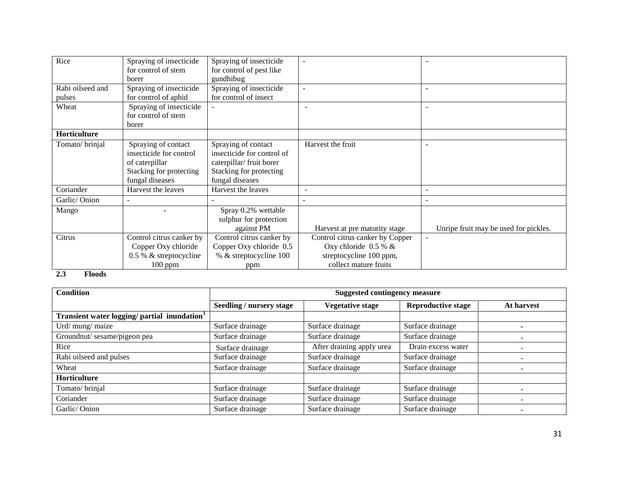| Rice             | Spraying of insecticide  | Spraying of insecticide    | $\blacksquare$                  |                                       |
|------------------|--------------------------|----------------------------|---------------------------------|---------------------------------------|
|                  | for control of stem      | for control of pest like   |                                 |                                       |
|                  | borer                    | gundhibug                  |                                 |                                       |
| Rabi oilseed and | Spraying of insecticide  | Spraying of insecticide    | $\overline{\phantom{a}}$        |                                       |
| pulses           | for control of aphid     | for control of insect      |                                 |                                       |
| Wheat            | Spraying of insecticide  |                            |                                 |                                       |
|                  | for control of stem      |                            |                                 |                                       |
|                  | borer                    |                            |                                 |                                       |
| Horticulture     |                          |                            |                                 |                                       |
| Tomato/brinjal   | Spraying of contact      | Spraying of contact        | Harvest the fruit               |                                       |
|                  | insecticide for control  | insecticide for control of |                                 |                                       |
|                  | of caterpillar           | caterpillar/ fruit borer   |                                 |                                       |
|                  | Stacking for protecting  | Stacking for protecting    |                                 |                                       |
|                  | fungal diseases          | fungal diseases            |                                 |                                       |
| Coriander        | Harvest the leaves       | Harvest the leaves         |                                 |                                       |
| Garlic/Onion     |                          |                            |                                 |                                       |
| Mango            |                          | Spray 0.2% wettable        |                                 |                                       |
|                  |                          | sulphur for protection     |                                 |                                       |
|                  |                          | against PM                 | Harvest at pre maturity stage   | Unripe fruit may be used for pickles. |
| Citrus           | Control citrus canker by | Control citrus canker by   | Control citrus canker by Copper |                                       |
|                  | Copper Oxy chloride      | Copper Oxy chloride 0.5    | Oxy chloride $0.5 %$ &          |                                       |
|                  | 0.5 % & streptocycline   | % & streptocycline 100     | streptocycline 100 ppm,         |                                       |
|                  | $100$ ppm                | ppm                        | collect mature fruits           |                                       |

#### **2.3 Floods**

| <b>Condition</b>                                         | <b>Suggested contingency measure</b> |                           |                           |            |
|----------------------------------------------------------|--------------------------------------|---------------------------|---------------------------|------------|
|                                                          | Seedling / nursery stage             | <b>Vegetative stage</b>   | <b>Reproductive stage</b> | At harvest |
| Transient water logging/ partial inundation <sup>1</sup> |                                      |                           |                           |            |
| Urd/ mung/ maize                                         | Surface drainage                     | Surface drainage          | Surface drainage          |            |
| Groundnut/ sesame/pigeon pea                             | Surface drainage                     | Surface drainage          | Surface drainage          |            |
| Rice                                                     | Surface drainage                     | After draining apply urea | Drain excess water        |            |
| Rabi oilseed and pulses                                  | Surface drainage                     | Surface drainage          | Surface drainage          |            |
| Wheat                                                    | Surface drainage                     | Surface drainage          | Surface drainage          | -          |
| <b>Horticulture</b>                                      |                                      |                           |                           |            |
| Tomato/brinjal                                           | Surface drainage                     | Surface drainage          | Surface drainage          |            |
| Coriander                                                | Surface drainage                     | Surface drainage          | Surface drainage          |            |
| Garlic/Onion                                             | Surface drainage                     | Surface drainage          | Surface drainage          |            |